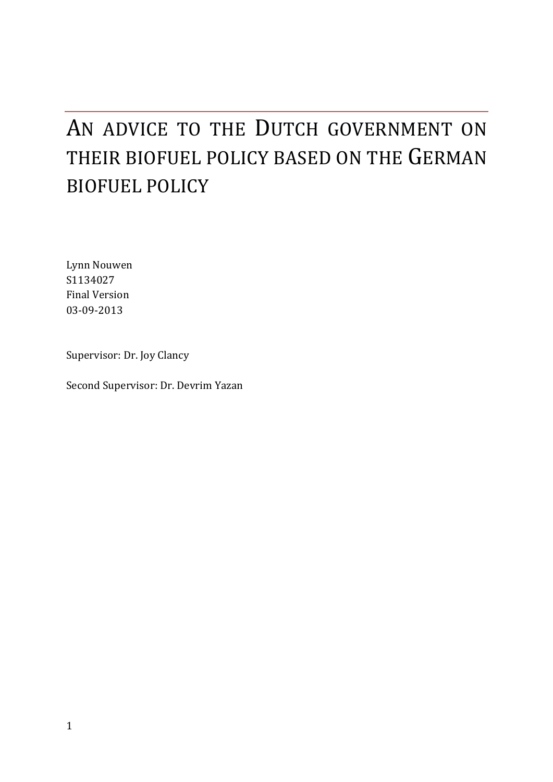# AN ADVICE TO THE DUTCH GOVERNMENT ON THEIR BIOFUEL POLICY BASED ON THE GERMAN **BIOFUEL POLICY**

Lynn Nouwen S1134027 Final Version 03-09-2013

Supervisor: Dr. Joy Clancy

Second Supervisor: Dr. Devrim Yazan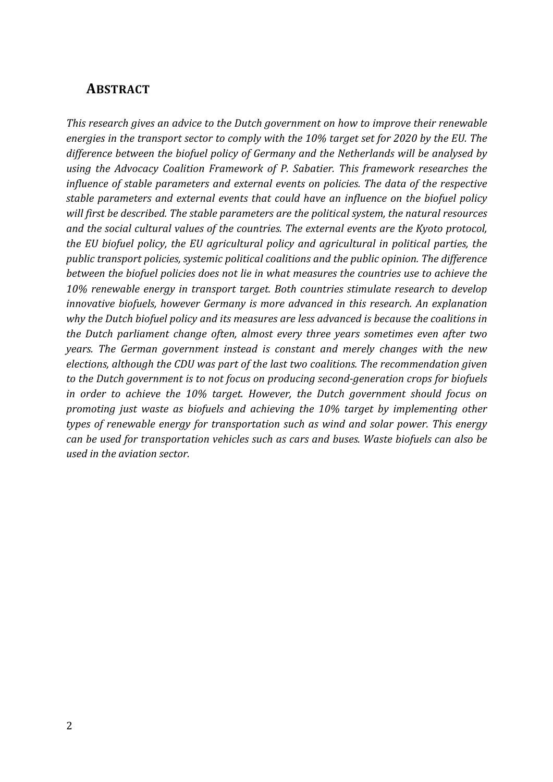### **ABSTRACT**

This research gives an advice to the Dutch government on how to improve their renewable energies in the transport sector to comply with the 10% target set for 2020 by the EU. The difference between the biofuel policy of Germany and the Netherlands will be analysed by using the Advocacy Coalition Framework of P. Sabatier. This framework researches the *influence of stable parameters and external events on policies. The data of the respective* stable parameters and external events that could have an influence on the biofuel policy will first be described. The stable parameters are the political system, the natural resources and the social cultural values of the countries. The external events are the Kyoto protocol, *the EU biofuel policy, the EU agricultural policy and agricultural in political parties, the* public transport policies, systemic political coalitions and the public opinion. The difference between the biofuel policies does not lie in what measures the countries use to achieve the 10% renewable energy in transport target. Both countries stimulate research to develop *innovative biofuels, however Germany is more advanced in this research. An explanation* why the Dutch biofuel policy and its measures are less advanced is because the coalitions in *the Dutch parliament change often, almost every three years sometimes even after two years.* The German government instead is constant and merely changes with the new *elections, although the CDU was part of the last two coalitions. The recommendation given* to the Dutch government is to not focus on producing second-generation crops for biofuels *in* order to achieve the 10% target. However, the Dutch government should focus on *promoting just waste as biofuels and achieving the 10% target by implementing other types of renewable energy for transportation such as wind and solar power. This energy can be used for transportation vehicles such as cars and buses. Waste biofuels can also be* used in the aviation sector.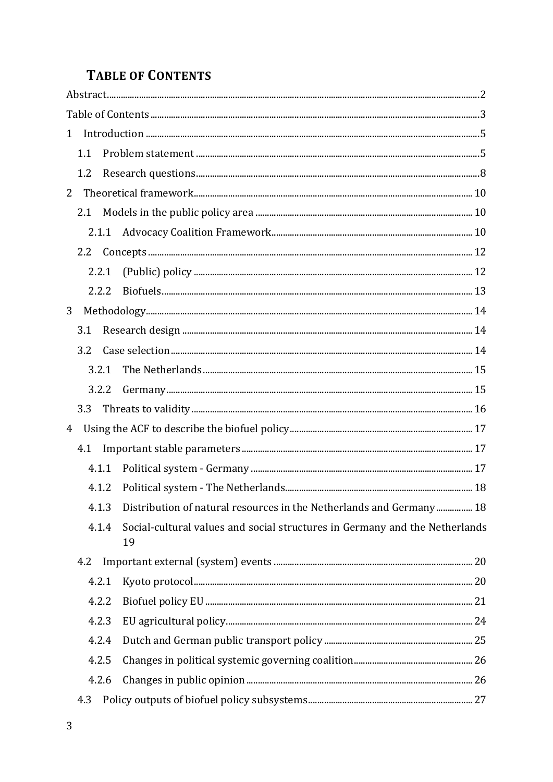# **TABLE OF CONTENTS**

| $\mathbf{1}$ |     |       |                                                                                   |  |
|--------------|-----|-------|-----------------------------------------------------------------------------------|--|
|              | 1.1 |       |                                                                                   |  |
|              | 1.2 |       |                                                                                   |  |
| 2            |     |       |                                                                                   |  |
|              | 2.1 |       |                                                                                   |  |
|              |     | 2.1.1 |                                                                                   |  |
|              |     |       |                                                                                   |  |
|              |     | 2.2.1 |                                                                                   |  |
|              |     | 2.2.2 |                                                                                   |  |
| 3            |     |       |                                                                                   |  |
|              | 3.1 |       |                                                                                   |  |
|              | 3.2 |       |                                                                                   |  |
|              |     | 3.2.1 |                                                                                   |  |
|              |     | 3.2.2 |                                                                                   |  |
|              | 3.3 |       |                                                                                   |  |
| 4            |     |       |                                                                                   |  |
|              | 4.1 |       |                                                                                   |  |
|              |     | 4.1.1 |                                                                                   |  |
|              |     | 4.1.2 |                                                                                   |  |
|              |     | 4.1.3 | Distribution of natural resources in the Netherlands and Germany 18               |  |
|              |     | 4.1.4 | Social-cultural values and social structures in Germany and the Netherlands<br>19 |  |
|              | 4.2 |       |                                                                                   |  |
|              |     | 4.2.1 |                                                                                   |  |
|              |     | 4.2.2 |                                                                                   |  |
|              |     | 4.2.3 |                                                                                   |  |
|              |     | 4.2.4 |                                                                                   |  |
|              |     | 4.2.5 |                                                                                   |  |
|              |     | 4.2.6 |                                                                                   |  |
|              | 4.3 |       |                                                                                   |  |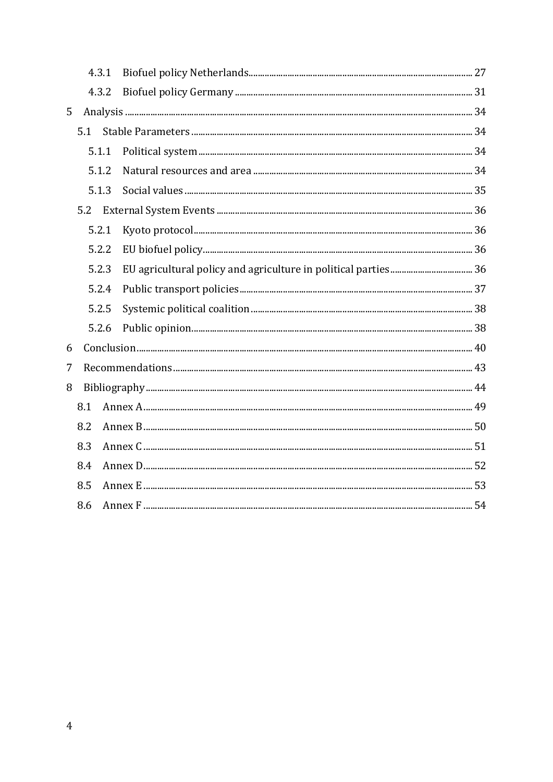|       | 4.3.1 |       |  |  |
|-------|-------|-------|--|--|
| 4.3.2 |       |       |  |  |
| 5     |       |       |  |  |
|       | 5.1   |       |  |  |
|       |       | 5.1.1 |  |  |
|       |       | 5.1.2 |  |  |
|       |       | 5.1.3 |  |  |
|       | 5.2   |       |  |  |
|       | 5.2.1 |       |  |  |
|       |       | 5.2.2 |  |  |
|       | 5.2.3 |       |  |  |
|       | 5.2.4 |       |  |  |
|       |       | 5.2.5 |  |  |
|       |       | 5.2.6 |  |  |
| 6     |       |       |  |  |
| 7     |       |       |  |  |
| 8     |       |       |  |  |
|       | 8.1   |       |  |  |
|       | 8.2   |       |  |  |
|       | 8.3   |       |  |  |
|       | 8.4   |       |  |  |
|       | 8.5   |       |  |  |
|       | 8.6   |       |  |  |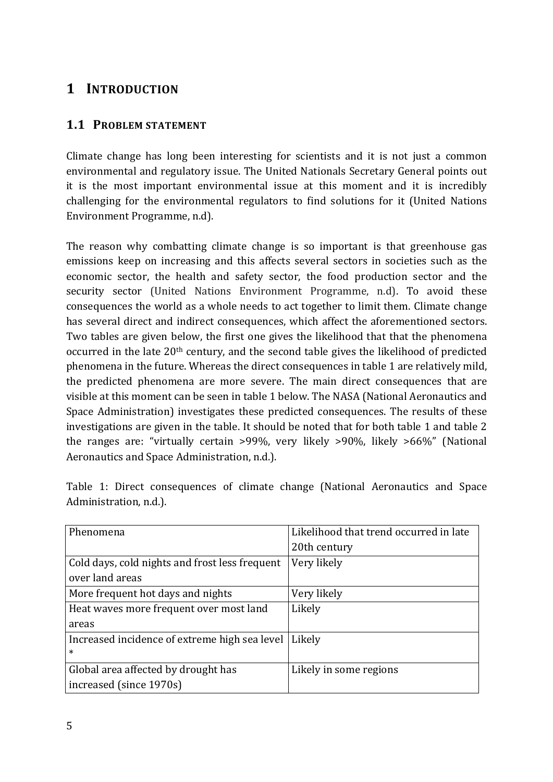# **1 INTRODUCTION**

### **1.1 PROBLEM STATEMENT**

Climate change has long been interesting for scientists and it is not just a common environmental and regulatory issue. The United Nationals Secretary General points out it is the most important environmental issue at this moment and it is incredibly challenging for the environmental regulators to find solutions for it (United Nations Environment Programme, n.d).

The reason why combatting climate change is so important is that greenhouse gas emissions keep on increasing and this affects several sectors in societies such as the economic sector, the health and safety sector, the food production sector and the security sector (United Nations Environment Programme, n.d). To avoid these consequences the world as a whole needs to act together to limit them. Climate change has several direct and indirect consequences, which affect the aforementioned sectors. Two tables are given below, the first one gives the likelihood that that the phenomena occurred in the late  $20<sup>th</sup>$  century, and the second table gives the likelihood of predicted phenomena in the future. Whereas the direct consequences in table 1 are relatively mild, the predicted phenomena are more severe. The main direct consequences that are visible at this moment can be seen in table 1 below. The NASA (National Aeronautics and Space Administration) investigates these predicted consequences. The results of these investigations are given in the table. It should be noted that for both table 1 and table 2 the ranges are: "virtually certain  $>99\%$ , very likely  $>90\%$ , likely  $>66\%$ " (National Aeronautics and Space Administration, n.d.).

| Phenomena                                      | Likelihood that trend occurred in late |
|------------------------------------------------|----------------------------------------|
|                                                | 20th century                           |
| Cold days, cold nights and frost less frequent | Very likely                            |
| over land areas                                |                                        |
| More frequent hot days and nights              | Very likely                            |
| Heat waves more frequent over most land        | Likely                                 |
| areas                                          |                                        |
| Increased incidence of extreme high sea level  | Likely                                 |
| $\ast$                                         |                                        |
| Global area affected by drought has            | Likely in some regions                 |
| increased (since 1970s)                        |                                        |

Table 1: Direct consequences of climate change (National Aeronautics and Space Administration, n.d.).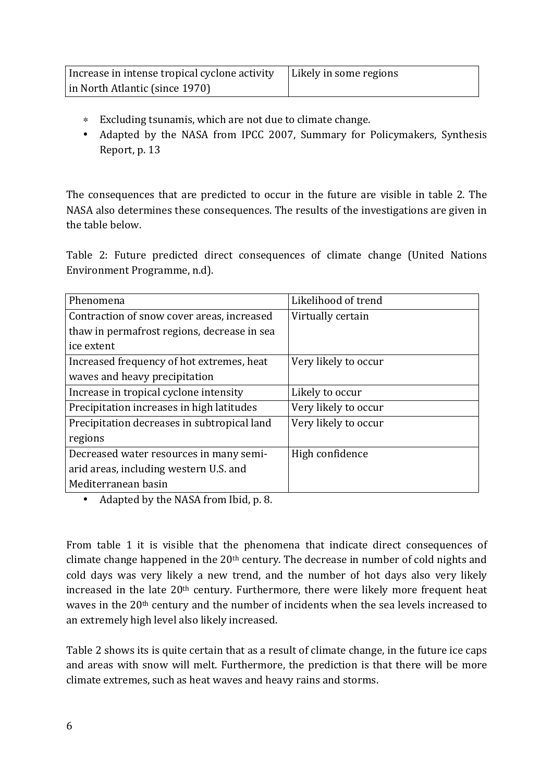| Increase in intense tropical cyclone activity | Likely in some regions |
|-----------------------------------------------|------------------------|
| in North Atlantic (since 1970)                |                        |

- ∗ Excluding tsunamis, which are not due to climate change.
- Adapted by the NASA from IPCC 2007, Summary for Policymakers, Synthesis Report, p. 13

The consequences that are predicted to occur in the future are visible in table 2. The NASA also determines these consequences. The results of the investigations are given in the table below

Table 2: Future predicted direct consequences of climate change (United Nations Environment Programme, n.d).

| Phenomena                                   | Likelihood of trend  |
|---------------------------------------------|----------------------|
| Contraction of snow cover areas, increased  | Virtually certain    |
| thaw in permafrost regions, decrease in sea |                      |
| ice extent                                  |                      |
| Increased frequency of hot extremes, heat   | Very likely to occur |
| waves and heavy precipitation               |                      |
| Increase in tropical cyclone intensity      | Likely to occur      |
| Precipitation increases in high latitudes   | Very likely to occur |
| Precipitation decreases in subtropical land | Very likely to occur |
| regions                                     |                      |
| Decreased water resources in many semi-     | High confidence      |
| arid areas, including western U.S. and      |                      |
| Mediterranean basin                         |                      |

• Adapted by the NASA from Ibid, p. 8.

From table 1 it is visible that the phenomena that indicate direct consequences of climate change happened in the  $20<sup>th</sup>$  century. The decrease in number of cold nights and cold days was very likely a new trend, and the number of hot days also very likely increased in the late  $20<sup>th</sup>$  century. Furthermore, there were likely more frequent heat waves in the  $20<sup>th</sup>$  century and the number of incidents when the sea levels increased to an extremely high level also likely increased.

Table 2 shows its is quite certain that as a result of climate change, in the future ice caps and areas with snow will melt. Furthermore, the prediction is that there will be more climate extremes, such as heat waves and heavy rains and storms.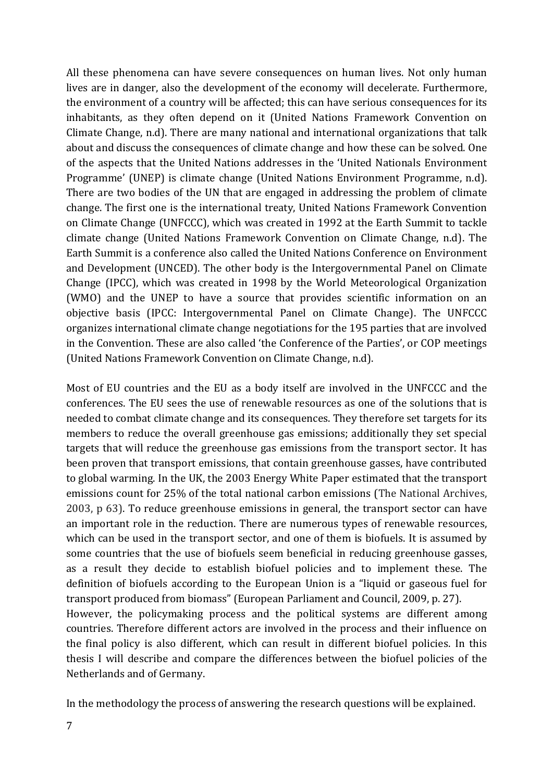All these phenomena can have severe consequences on human lives. Not only human lives are in danger, also the development of the economy will decelerate. Furthermore, the environment of a country will be affected; this can have serious consequences for its inhabitants, as they often depend on it (United Nations Framework Convention on Climate Change, n.d). There are many national and international organizations that talk about and discuss the consequences of climate change and how these can be solved. One of the aspects that the United Nations addresses in the 'United Nationals Environment Programme' (UNEP) is climate change (United Nations Environment Programme, n.d). There are two bodies of the UN that are engaged in addressing the problem of climate change. The first one is the international treaty, United Nations Framework Convention on Climate Change (UNFCCC), which was created in 1992 at the Earth Summit to tackle climate change (United Nations Framework Convention on Climate Change, n.d). The Earth Summit is a conference also called the United Nations Conference on Environment and Development (UNCED). The other body is the Intergovernmental Panel on Climate Change (IPCC), which was created in 1998 by the World Meteorological Organization (WMO) and the UNEP to have a source that provides scientific information on an objective basis (IPCC: Intergovernmental Panel on Climate Change). The UNFCCC organizes international climate change negotiations for the 195 parties that are involved in the Convention. These are also called 'the Conference of the Parties', or COP meetings (United Nations Framework Convention on Climate Change, n.d).

Most of EU countries and the EU as a body itself are involved in the UNFCCC and the conferences. The EU sees the use of renewable resources as one of the solutions that is needed to combat climate change and its consequences. They therefore set targets for its members to reduce the overall greenhouse gas emissions; additionally they set special targets that will reduce the greenhouse gas emissions from the transport sector. It has been proven that transport emissions, that contain greenhouse gasses, have contributed to global warming. In the UK, the 2003 Energy White Paper estimated that the transport emissions count for 25% of the total national carbon emissions (The National Archives, 2003,  $p$  63). To reduce greenhouse emissions in general, the transport sector can have an important role in the reduction. There are numerous types of renewable resources, which can be used in the transport sector, and one of them is biofuels. It is assumed by some countries that the use of biofuels seem beneficial in reducing greenhouse gasses, as a result they decide to establish biofuel policies and to implement these. The definition of biofuels according to the European Union is a "liquid or gaseous fuel for transport produced from biomass" (European Parliament and Council, 2009, p. 27). However, the policymaking process and the political systems are different among countries. Therefore different actors are involved in the process and their influence on the final policy is also different, which can result in different biofuel policies. In this thesis I will describe and compare the differences between the biofuel policies of the Netherlands and of Germany.

In the methodology the process of answering the research questions will be explained.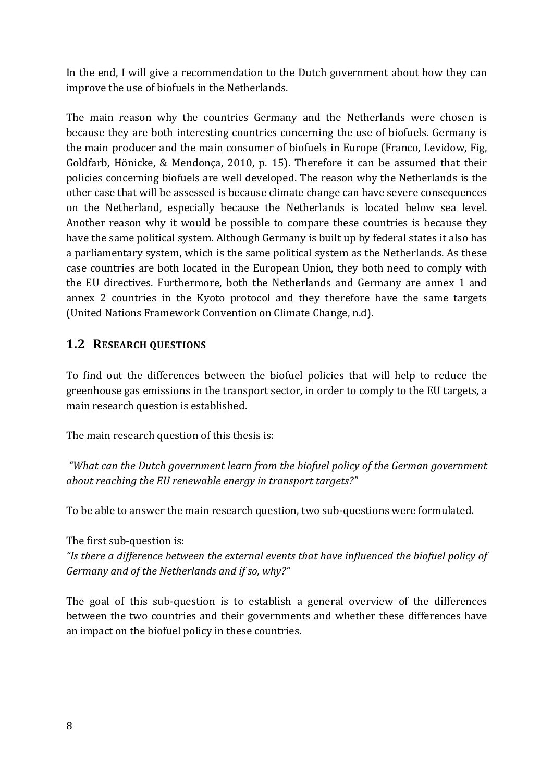In the end, I will give a recommendation to the Dutch government about how they can improve the use of biofuels in the Netherlands.

The main reason why the countries Germany and the Netherlands were chosen is because they are both interesting countries concerning the use of biofuels. Germany is the main producer and the main consumer of biofuels in Europe (Franco, Levidow, Fig. Goldfarb, Hönicke, & Mendonça, 2010, p. 15). Therefore it can be assumed that their policies concerning biofuels are well developed. The reason why the Netherlands is the other case that will be assessed is because climate change can have severe consequences on the Netherland, especially because the Netherlands is located below sea level. Another reason why it would be possible to compare these countries is because they have the same political system. Although Germany is built up by federal states it also has a parliamentary system, which is the same political system as the Netherlands. As these case countries are both located in the European Union, they both need to comply with the EU directives. Furthermore, both the Netherlands and Germany are annex 1 and annex 2 countries in the Kyoto protocol and they therefore have the same targets (United Nations Framework Convention on Climate Change, n.d).

### **1.2 RESEARCH QUESTIONS**

To find out the differences between the biofuel policies that will help to reduce the greenhouse gas emissions in the transport sector, in order to comply to the EU targets, a main research question is established.

The main research question of this thesis is:

*"What can the Dutch government learn from the biofuel policy of the German government about reaching the EU renewable energy in transport targets?"* 

To be able to answer the main research question, two sub-questions were formulated.

The first sub-question is:

"Is there a difference between the external events that have *influenced* the biofuel policy of Germany and of the Netherlands and if so, why?"

The goal of this sub-question is to establish a general overview of the differences between the two countries and their governments and whether these differences have an impact on the biofuel policy in these countries.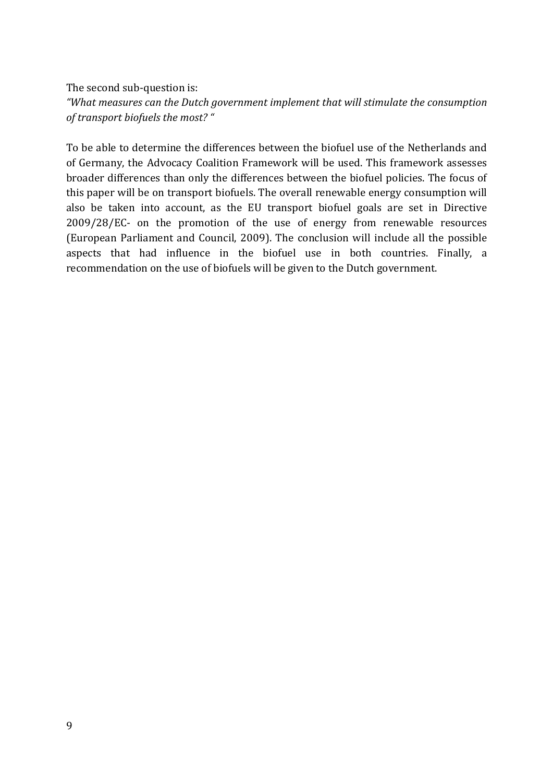The second sub-question is: "What measures can the Dutch government implement that will stimulate the consumption *of transport biofuels the most? "*

To be able to determine the differences between the biofuel use of the Netherlands and of Germany, the Advocacy Coalition Framework will be used. This framework assesses broader differences than only the differences between the biofuel policies. The focus of this paper will be on transport biofuels. The overall renewable energy consumption will also be taken into account, as the EU transport biofuel goals are set in Directive  $2009/28/EC$ - on the promotion of the use of energy from renewable resources (European Parliament and Council, 2009). The conclusion will include all the possible aspects that had influence in the biofuel use in both countries. Finally, a recommendation on the use of biofuels will be given to the Dutch government.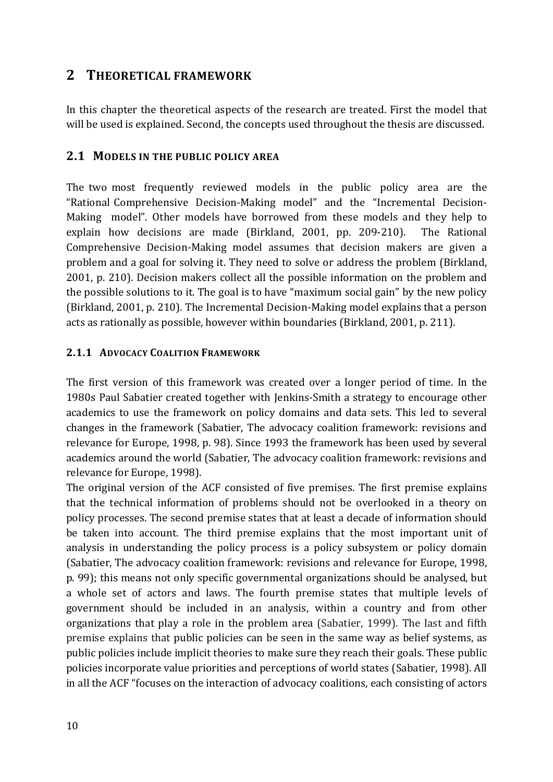# **2 THEORETICAL FRAMEWORK**

In this chapter the theoretical aspects of the research are treated. First the model that will be used is explained. Second, the concepts used throughout the thesis are discussed.

#### **2.1 MODELS IN THE PUBLIC POLICY AREA**

The two most frequently reviewed models in the public policy area are the "Rational Comprehensive Decision-Making model" and the "Incremental Decision-Making model". Other models have borrowed from these models and they help to explain how decisions are made (Birkland, 2001, pp. 209-210). The Rational Comprehensive Decision-Making model assumes that decision makers are given a problem and a goal for solving it. They need to solve or address the problem (Birkland, 2001, p. 210). Decision makers collect all the possible information on the problem and the possible solutions to it. The goal is to have "maximum social gain" by the new policy (Birkland, 2001, p. 210). The Incremental Decision-Making model explains that a person acts as rationally as possible, however within boundaries (Birkland, 2001, p. 211).

#### **2.1.1 ADVOCACY COALITION FRAMEWORK**

The first version of this framework was created over a longer period of time. In the 1980s Paul Sabatier created together with Jenkins-Smith a strategy to encourage other academics to use the framework on policy domains and data sets. This led to several changes in the framework (Sabatier, The advocacy coalition framework: revisions and relevance for Europe, 1998, p. 98). Since 1993 the framework has been used by several academics around the world (Sabatier, The advocacy coalition framework: revisions and relevance for Europe, 1998).

The original version of the ACF consisted of five premises. The first premise explains that the technical information of problems should not be overlooked in a theory on policy processes. The second premise states that at least a decade of information should be taken into account. The third premise explains that the most important unit of analysis in understanding the policy process is a policy subsystem or policy domain (Sabatier, The advocacy coalition framework: revisions and relevance for Europe, 1998, p. 99); this means not only specific governmental organizations should be analysed, but a whole set of actors and laws. The fourth premise states that multiple levels of government should be included in an analysis, within a country and from other organizations that play a role in the problem area (Sabatier, 1999). The last and fifth premise explains that public policies can be seen in the same way as belief systems, as public policies include implicit theories to make sure they reach their goals. These public policies incorporate value priorities and perceptions of world states (Sabatier, 1998). All in all the ACF "focuses on the interaction of advocacy coalitions, each consisting of actors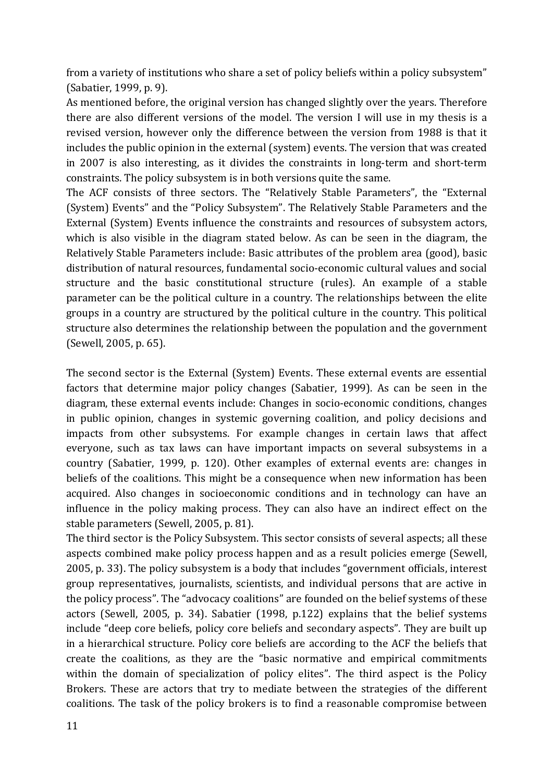from a variety of institutions who share a set of policy beliefs within a policy subsystem" (Sabatier, 1999, p. 9).

As mentioned before, the original version has changed slightly over the years. Therefore there are also different versions of the model. The version I will use in my thesis is a revised version, however only the difference between the version from 1988 is that it includes the public opinion in the external (system) events. The version that was created in 2007 is also interesting, as it divides the constraints in long-term and short-term constraints. The policy subsystem is in both versions quite the same.

The ACF consists of three sectors. The "Relatively Stable Parameters", the "External (System) Events" and the "Policy Subsystem". The Relatively Stable Parameters and the External (System) Events influence the constraints and resources of subsystem actors, which is also visible in the diagram stated below. As can be seen in the diagram, the Relatively Stable Parameters include: Basic attributes of the problem area (good), basic distribution of natural resources, fundamental socio-economic cultural values and social structure and the basic constitutional structure (rules). An example of a stable parameter can be the political culture in a country. The relationships between the elite groups in a country are structured by the political culture in the country. This political structure also determines the relationship between the population and the government (Sewell, 2005, p. 65).

The second sector is the External (System) Events. These external events are essential factors that determine major policy changes (Sabatier, 1999). As can be seen in the diagram, these external events include: Changes in socio-economic conditions, changes in public opinion, changes in systemic governing coalition, and policy decisions and impacts from other subsystems. For example changes in certain laws that affect everyone, such as tax laws can have important impacts on several subsystems in a country (Sabatier, 1999, p. 120). Other examples of external events are: changes in beliefs of the coalitions. This might be a consequence when new information has been acquired. Also changes in socioeconomic conditions and in technology can have an influence in the policy making process. They can also have an indirect effect on the stable parameters (Sewell, 2005, p. 81).

The third sector is the Policy Subsystem. This sector consists of several aspects; all these aspects combined make policy process happen and as a result policies emerge (Sewell, 2005, p. 33). The policy subsystem is a body that includes "government officials, interest group representatives, journalists, scientists, and individual persons that are active in the policy process". The "advocacy coalitions" are founded on the belief systems of these actors (Sewell, 2005, p. 34). Sabatier (1998, p.122) explains that the belief systems include "deep core beliefs, policy core beliefs and secondary aspects". They are built up in a hierarchical structure. Policy core beliefs are according to the ACF the beliefs that create the coalitions, as they are the "basic normative and empirical commitments within the domain of specialization of policy elites". The third aspect is the Policy Brokers. These are actors that try to mediate between the strategies of the different coalitions. The task of the policy brokers is to find a reasonable compromise between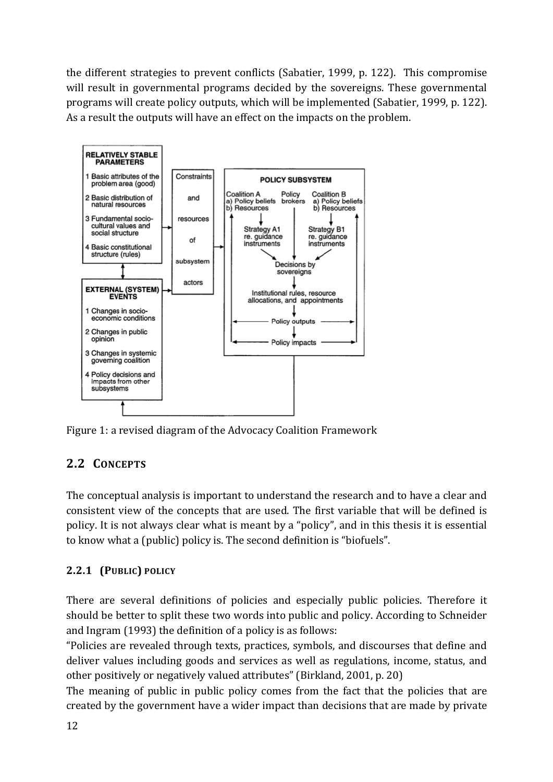the different strategies to prevent conflicts (Sabatier, 1999, p. 122). This compromise will result in governmental programs decided by the sovereigns. These governmental programs will create policy outputs, which will be implemented (Sabatier, 1999, p. 122). As a result the outputs will have an effect on the impacts on the problem.



Figure 1: a revised diagram of the Advocacy Coalition Framework

# 2.2 **CONCEPTS**

The conceptual analysis is important to understand the research and to have a clear and consistent view of the concepts that are used. The first variable that will be defined is policy. It is not always clear what is meant by a "policy", and in this thesis it is essential to know what a (public) policy is. The second definition is "biofuels".

# **2.2.1 (PUBLIC) POLICY**

There are several definitions of policies and especially public policies. Therefore it should be better to split these two words into public and policy. According to Schneider and Ingram  $(1993)$  the definition of a policy is as follows:

"Policies are revealed through texts, practices, symbols, and discourses that define and deliver values including goods and services as well as regulations, income, status, and other positively or negatively valued attributes" (Birkland, 2001, p. 20)

The meaning of public in public policy comes from the fact that the policies that are created by the government have a wider impact than decisions that are made by private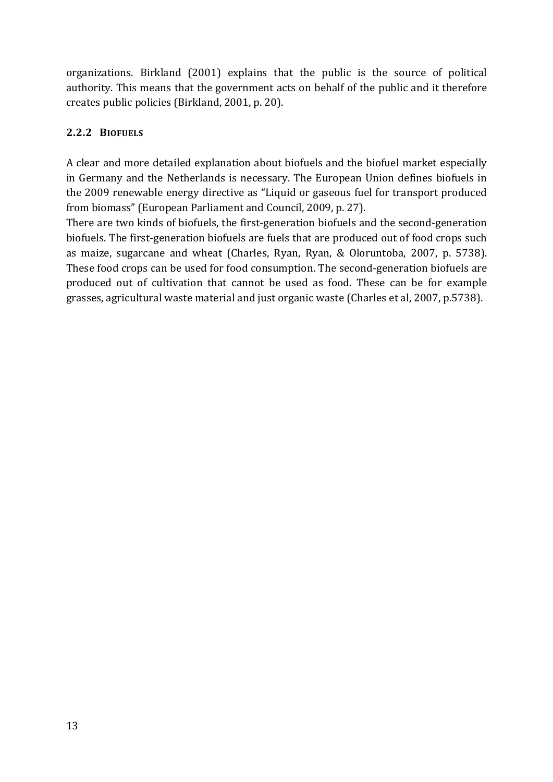organizations. Birkland (2001) explains that the public is the source of political authority. This means that the government acts on behalf of the public and it therefore creates public policies (Birkland, 2001, p. 20).

### **2.2.2 BIOFUELS**

A clear and more detailed explanation about biofuels and the biofuel market especially in Germany and the Netherlands is necessary. The European Union defines biofuels in the 2009 renewable energy directive as "Liquid or gaseous fuel for transport produced from biomass" (European Parliament and Council, 2009, p. 27).

There are two kinds of biofuels, the first-generation biofuels and the second-generation biofuels. The first-generation biofuels are fuels that are produced out of food crops such as maize, sugarcane and wheat (Charles, Ryan, Ryan, & Oloruntoba, 2007, p. 5738). These food crops can be used for food consumption. The second-generation biofuels are produced out of cultivation that cannot be used as food. These can be for example grasses, agricultural waste material and just organic waste (Charles et al, 2007, p.5738).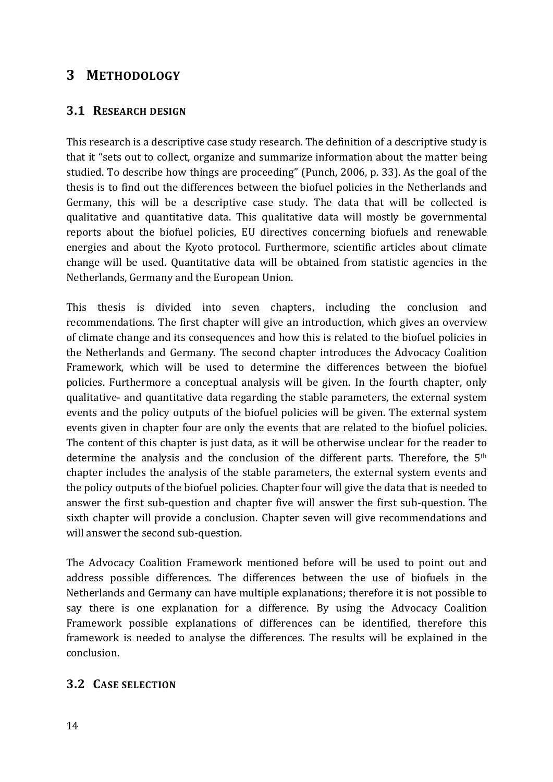# **3 METHODOLOGY**

### **3.1 RESEARCH DESIGN**

This research is a descriptive case study research. The definition of a descriptive study is that it "sets out to collect, organize and summarize information about the matter being studied. To describe how things are proceeding" (Punch, 2006, p. 33). As the goal of the thesis is to find out the differences between the biofuel policies in the Netherlands and Germany, this will be a descriptive case study. The data that will be collected is qualitative and quantitative data. This qualitative data will mostly be governmental reports about the biofuel policies, EU directives concerning biofuels and renewable energies and about the Kyoto protocol. Furthermore, scientific articles about climate change will be used. Quantitative data will be obtained from statistic agencies in the Netherlands, Germany and the European Union.

This thesis is divided into seven chapters, including the conclusion and recommendations. The first chapter will give an introduction, which gives an overview of climate change and its consequences and how this is related to the biofuel policies in the Netherlands and Germany. The second chapter introduces the Advocacy Coalition Framework, which will be used to determine the differences between the biofuel policies. Furthermore a conceptual analysis will be given. In the fourth chapter, only qualitative- and quantitative data regarding the stable parameters, the external system events and the policy outputs of the biofuel policies will be given. The external system events given in chapter four are only the events that are related to the biofuel policies. The content of this chapter is just data, as it will be otherwise unclear for the reader to determine the analysis and the conclusion of the different parts. Therefore, the  $5<sup>th</sup>$ chapter includes the analysis of the stable parameters, the external system events and the policy outputs of the biofuel policies. Chapter four will give the data that is needed to answer the first sub-question and chapter five will answer the first sub-question. The sixth chapter will provide a conclusion. Chapter seven will give recommendations and will answer the second sub-question.

The Advocacy Coalition Framework mentioned before will be used to point out and address possible differences. The differences between the use of biofuels in the Netherlands and Germany can have multiple explanations; therefore it is not possible to say there is one explanation for a difference. By using the Advocacy Coalition Framework possible explanations of differences can be identified, therefore this framework is needed to analyse the differences. The results will be explained in the conclusion. 

### **3.2 CASE SELECTION**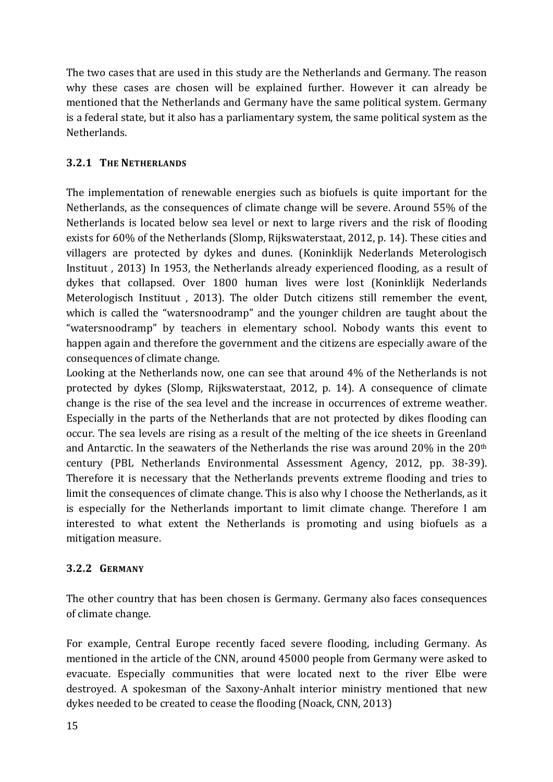The two cases that are used in this study are the Netherlands and Germany. The reason why these cases are chosen will be explained further. However it can already be mentioned that the Netherlands and Germany have the same political system. Germany is a federal state, but it also has a parliamentary system, the same political system as the Netherlands.

### **3.2.1 THE NETHERLANDS**

The implementation of renewable energies such as biofuels is quite important for the Netherlands, as the consequences of climate change will be severe. Around 55% of the Netherlands is located below sea level or next to large rivers and the risk of flooding exists for 60% of the Netherlands (Slomp, Rijkswaterstaat, 2012, p. 14). These cities and villagers are protected by dykes and dunes. (Koninklijk Nederlands Meterologisch Instituut, 2013) In 1953, the Netherlands already experienced flooding, as a result of dykes that collapsed. Over 1800 human lives were lost (Koninklijk Nederlands Meterologisch Instituut, 2013). The older Dutch citizens still remember the event, which is called the "watersnoodramp" and the younger children are taught about the "watersnoodramp" by teachers in elementary school. Nobody wants this event to happen again and therefore the government and the citizens are especially aware of the consequences of climate change.

Looking at the Netherlands now, one can see that around  $4\%$  of the Netherlands is not protected by dykes (Slomp, Rijkswaterstaat, 2012, p. 14). A consequence of climate change is the rise of the sea level and the increase in occurrences of extreme weather. Especially in the parts of the Netherlands that are not protected by dikes flooding can occur. The sea levels are rising as a result of the melting of the ice sheets in Greenland and Antarctic. In the seawaters of the Netherlands the rise was around  $20\%$  in the  $20<sup>th</sup>$ century (PBL Netherlands Environmental Assessment Agency, 2012, pp. 38-39). Therefore it is necessary that the Netherlands prevents extreme flooding and tries to limit the consequences of climate change. This is also why I choose the Netherlands, as it is especially for the Netherlands important to limit climate change. Therefore I am interested to what extent the Netherlands is promoting and using biofuels as a mitigation measure. 

#### **3.2.2 GERMANY**

The other country that has been chosen is Germany. Germany also faces consequences of climate change.

For example, Central Europe recently faced severe flooding, including Germany. As mentioned in the article of the CNN, around 45000 people from Germany were asked to evacuate. Especially communities that were located next to the river Elbe were destroyed. A spokesman of the Saxony-Anhalt interior ministry mentioned that new dykes needed to be created to cease the flooding (Noack, CNN, 2013)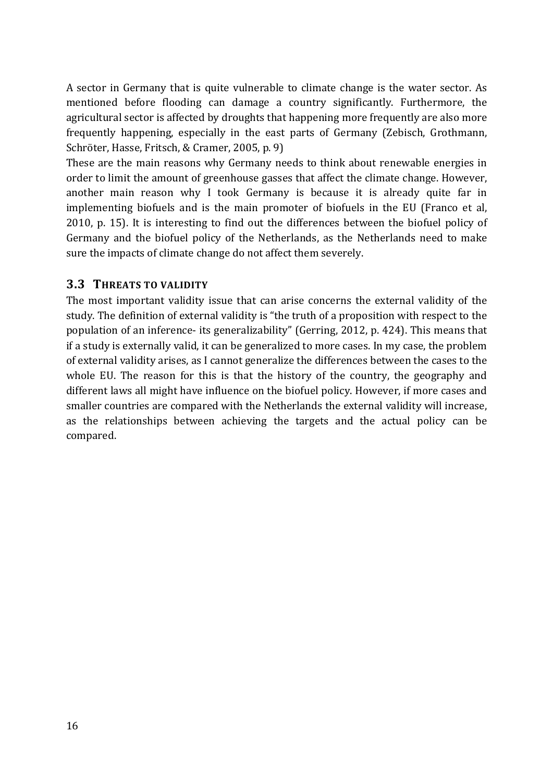A sector in Germany that is quite vulnerable to climate change is the water sector. As mentioned before flooding can damage a country significantly. Furthermore, the agricultural sector is affected by droughts that happening more frequently are also more frequently happening, especially in the east parts of Germany (Zebisch, Grothmann, Schröter, Hasse, Fritsch, & Cramer, 2005, p. 9)

These are the main reasons why Germany needs to think about renewable energies in order to limit the amount of greenhouse gasses that affect the climate change. However, another main reason why I took Germany is because it is already quite far in implementing biofuels and is the main promoter of biofuels in the EU (Franco et al, 2010, p. 15). It is interesting to find out the differences between the biofuel policy of Germany and the biofuel policy of the Netherlands, as the Netherlands need to make sure the impacts of climate change do not affect them severely.

#### **3.3 THREATS TO VALIDITY**

The most important validity issue that can arise concerns the external validity of the study. The definition of external validity is "the truth of a proposition with respect to the population of an inference- its generalizability" (Gerring, 2012, p. 424). This means that if a study is externally valid, it can be generalized to more cases. In my case, the problem of external validity arises, as I cannot generalize the differences between the cases to the whole EU. The reason for this is that the history of the country, the geography and different laws all might have influence on the biofuel policy. However, if more cases and smaller countries are compared with the Netherlands the external validity will increase, as the relationships between achieving the targets and the actual policy can be compared.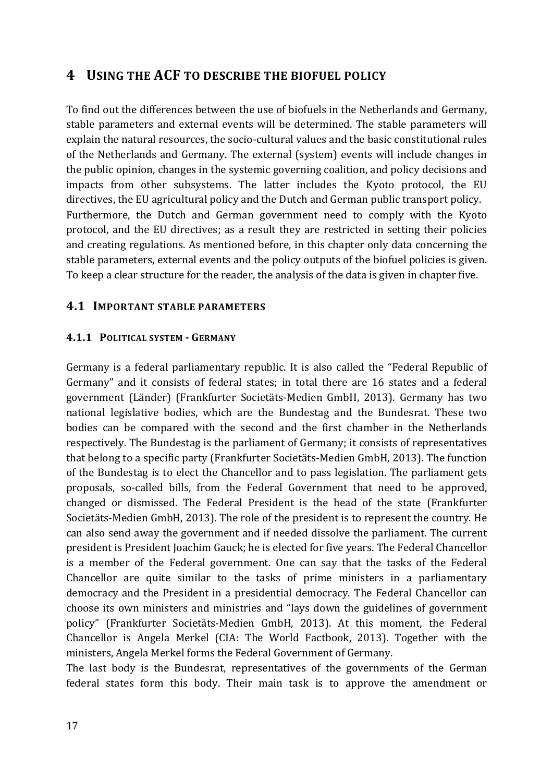# **4 USING THE ACF TO DESCRIBE THE BIOFUEL POLICY**

To find out the differences between the use of biofuels in the Netherlands and Germany, stable parameters and external events will be determined. The stable parameters will explain the natural resources, the socio-cultural values and the basic constitutional rules of the Netherlands and Germany. The external (system) events will include changes in the public opinion, changes in the systemic governing coalition, and policy decisions and impacts from other subsystems. The latter includes the Kyoto protocol, the EU directives, the EU agricultural policy and the Dutch and German public transport policy. Furthermore, the Dutch and German government need to comply with the Kyoto protocol, and the EU directives; as a result they are restricted in setting their policies and creating regulations. As mentioned before, in this chapter only data concerning the stable parameters, external events and the policy outputs of the biofuel policies is given. To keep a clear structure for the reader, the analysis of the data is given in chapter five.

#### **4.1 IMPORTANT STABLE PARAMETERS**

#### **4.1.1 POLITICAL SYSTEM - GERMANY**

Germany is a federal parliamentary republic. It is also called the "Federal Republic of Germany" and it consists of federal states; in total there are 16 states and a federal government (Länder) (Frankfurter Societäts-Medien GmbH, 2013). Germany has two national legislative bodies, which are the Bundestag and the Bundesrat. These two bodies can be compared with the second and the first chamber in the Netherlands respectively. The Bundestag is the parliament of Germany; it consists of representatives that belong to a specific party (Frankfurter Societäts-Medien GmbH, 2013). The function of the Bundestag is to elect the Chancellor and to pass legislation. The parliament gets proposals, so-called bills, from the Federal Government that need to be approved, changed or dismissed. The Federal President is the head of the state (Frankfurter Societäts-Medien GmbH, 2013). The role of the president is to represent the country. He can also send away the government and if needed dissolve the parliament. The current president is President Joachim Gauck; he is elected for five years. The Federal Chancellor is a member of the Federal government. One can say that the tasks of the Federal Chancellor are quite similar to the tasks of prime ministers in a parliamentary democracy and the President in a presidential democracy. The Federal Chancellor can choose its own ministers and ministries and "lays down the guidelines of government policy" (Frankfurter Societäts-Medien GmbH, 2013). At this moment, the Federal Chancellor is Angela Merkel (CIA: The World Factbook, 2013). Together with the ministers, Angela Merkel forms the Federal Government of Germany.

The last body is the Bundesrat, representatives of the governments of the German federal states form this body. Their main task is to approve the amendment or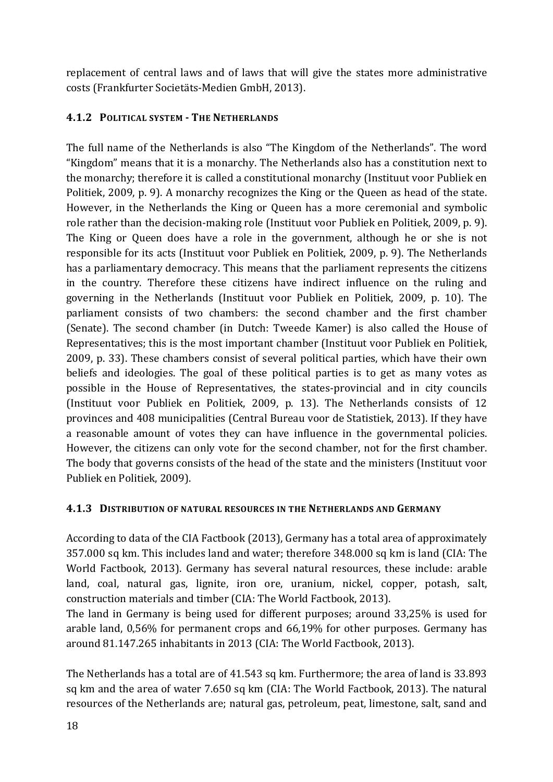replacement of central laws and of laws that will give the states more administrative costs (Frankfurter Societäts-Medien GmbH, 2013).

### **4.1.2 POLITICAL SYSTEM - THE NETHERLANDS**

The full name of the Netherlands is also "The Kingdom of the Netherlands". The word "Kingdom" means that it is a monarchy. The Netherlands also has a constitution next to the monarchy; therefore it is called a constitutional monarchy (Instituut voor Publiek en Politiek, 2009, p. 9). A monarchy recognizes the King or the Queen as head of the state. However, in the Netherlands the King or Queen has a more ceremonial and symbolic role rather than the decision-making role (Instituut voor Publiek en Politiek, 2009, p. 9). The King or Queen does have a role in the government, although he or she is not responsible for its acts (Instituut voor Publiek en Politiek, 2009, p. 9). The Netherlands has a parliamentary democracy. This means that the parliament represents the citizens in the country. Therefore these citizens have indirect influence on the ruling and governing in the Netherlands (Instituut voor Publiek en Politiek, 2009, p. 10). The parliament consists of two chambers: the second chamber and the first chamber (Senate). The second chamber (in Dutch: Tweede Kamer) is also called the House of Representatives; this is the most important chamber (Instituut voor Publiek en Politiek, 2009, p. 33). These chambers consist of several political parties, which have their own beliefs and ideologies. The goal of these political parties is to get as many votes as possible in the House of Representatives, the states-provincial and in city councils (Instituut voor Publiek en Politiek, 2009, p. 13). The Netherlands consists of 12 provinces and 408 municipalities (Central Bureau voor de Statistiek, 2013). If they have a reasonable amount of votes they can have influence in the governmental policies. However, the citizens can only vote for the second chamber, not for the first chamber. The body that governs consists of the head of the state and the ministers (Instituut voor Publiek en Politiek, 2009).

### **4.1.3 DISTRIBUTION OF NATURAL RESOURCES IN THE NETHERLANDS AND GERMANY**

According to data of the CIA Factbook (2013), Germany has a total area of approximately 357.000 sq km. This includes land and water; therefore 348.000 sq km is land (CIA: The World Factbook, 2013). Germany has several natural resources, these include: arable land, coal, natural gas, lignite, iron ore, uranium, nickel, copper, potash, salt, construction materials and timber (CIA: The World Factbook, 2013).

The land in Germany is being used for different purposes; around 33,25% is used for arable land,  $0,56\%$  for permanent crops and  $66,19\%$  for other purposes. Germany has around 81.147.265 inhabitants in 2013 (CIA: The World Factbook, 2013).

The Netherlands has a total are of 41.543 sq km. Furthermore; the area of land is 33.893 sq km and the area of water 7.650 sq km (CIA: The World Factbook, 2013). The natural resources of the Netherlands are; natural gas, petroleum, peat, limestone, salt, sand and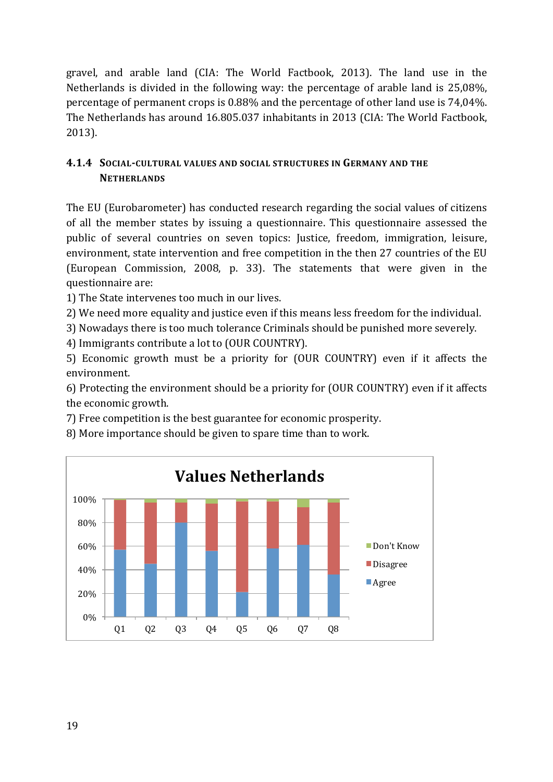gravel, and arable land (CIA: The World Factbook, 2013). The land use in the Netherlands is divided in the following way: the percentage of arable land is  $25,08\%$ . percentage of permanent crops is  $0.88\%$  and the percentage of other land use is  $74,04\%$ . The Netherlands has around 16.805.037 inhabitants in 2013 (CIA: The World Factbook, 2013).

### **4.1.4 SOCIAL-CULTURAL VALUES AND SOCIAL STRUCTURES IN GERMANY AND THE NETHERLANDS**

The EU (Eurobarometer) has conducted research regarding the social values of citizens of all the member states by issuing a questionnaire. This questionnaire assessed the public of several countries on seven topics: Justice, freedom, immigration, leisure, environment, state intervention and free competition in the then 27 countries of the EU (European Commission, 2008, p. 33). The statements that were given in the questionnaire are:

1) The State intervenes too much in our lives.

2) We need more equality and justice even if this means less freedom for the individual.

3) Nowadays there is too much tolerance Criminals should be punished more severely.

4) Immigrants contribute a lot to (OUR COUNTRY).

5) Economic growth must be a priority for (OUR COUNTRY) even if it affects the environment.

6) Protecting the environment should be a priority for (OUR COUNTRY) even if it affects the economic growth.

7) Free competition is the best guarantee for economic prosperity.

8) More importance should be given to spare time than to work.

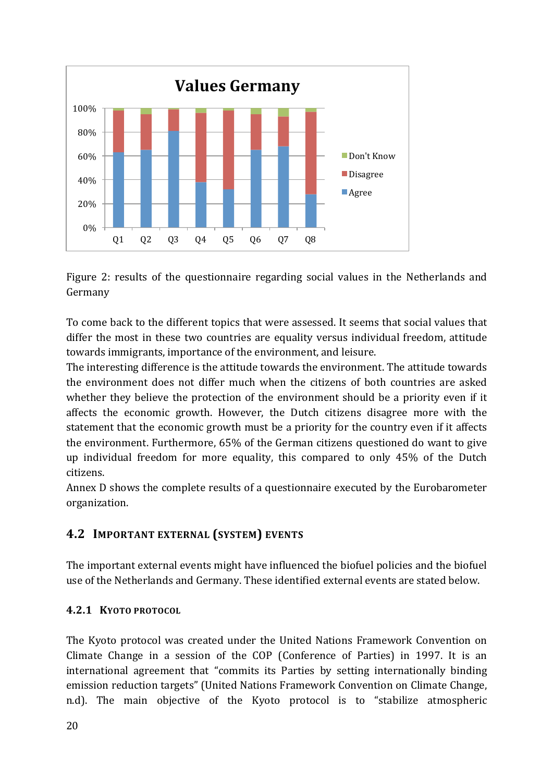

Figure 2: results of the questionnaire regarding social values in the Netherlands and Germany

To come back to the different topics that were assessed. It seems that social values that differ the most in these two countries are equality versus individual freedom, attitude towards immigrants, importance of the environment, and leisure.

The interesting difference is the attitude towards the environment. The attitude towards the environment does not differ much when the citizens of both countries are asked whether they believe the protection of the environment should be a priority even if it affects the economic growth. However, the Dutch citizens disagree more with the statement that the economic growth must be a priority for the country even if it affects the environment. Furthermore, 65% of the German citizens questioned do want to give up individual freedom for more equality, this compared to only 45% of the Dutch citizens. 

Annex D shows the complete results of a questionnaire executed by the Eurobarometer organization.

# **4.2 IMPORTANT EXTERNAL (SYSTEM) EVENTS**

The important external events might have influenced the biofuel policies and the biofuel use of the Netherlands and Germany. These identified external events are stated below.

### **4.2.1 KYOTO PROTOCOL**

The Kyoto protocol was created under the United Nations Framework Convention on Climate Change in a session of the COP (Conference of Parties) in 1997. It is an international agreement that "commits its Parties by setting internationally binding emission reduction targets" (United Nations Framework Convention on Climate Change, n.d). The main objective of the Kyoto protocol is to "stabilize atmospheric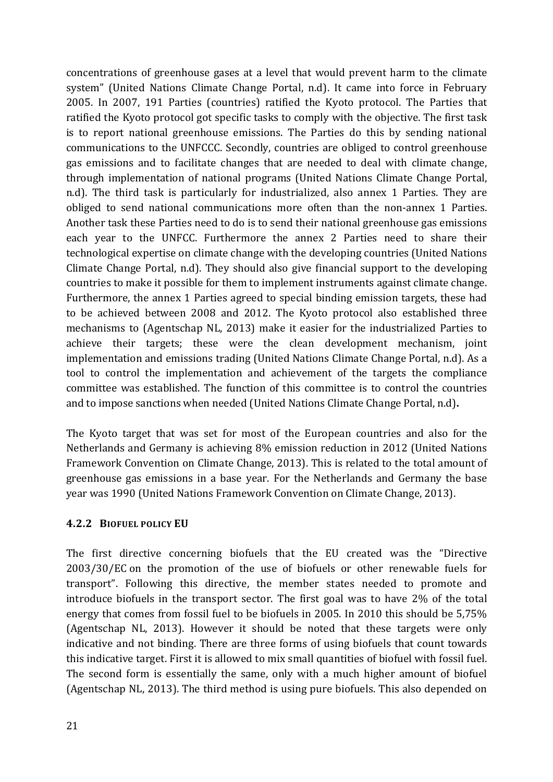concentrations of greenhouse gases at a level that would prevent harm to the climate system" (United Nations Climate Change Portal, n.d). It came into force in February 2005. In 2007, 191 Parties (countries) ratified the Kyoto protocol. The Parties that ratified the Kyoto protocol got specific tasks to comply with the objective. The first task is to report national greenhouse emissions. The Parties do this by sending national communications to the UNFCCC. Secondly, countries are obliged to control greenhouse gas emissions and to facilitate changes that are needed to deal with climate change, through implementation of national programs (United Nations Climate Change Portal, n.d). The third task is particularly for industrialized, also annex 1 Parties. They are obliged to send national communications more often than the non-annex 1 Parties. Another task these Parties need to do is to send their national greenhouse gas emissions each year to the UNFCC. Furthermore the annex 2 Parties need to share their technological expertise on climate change with the developing countries (United Nations Climate Change Portal, n.d). They should also give financial support to the developing countries to make it possible for them to implement instruments against climate change. Furthermore, the annex 1 Parties agreed to special binding emission targets, these had to be achieved between 2008 and 2012. The Kyoto protocol also established three mechanisms to (Agentschap NL, 2013) make it easier for the industrialized Parties to achieve their targets; these were the clean development mechanism, joint implementation and emissions trading (United Nations Climate Change Portal, n.d). As a tool to control the implementation and achievement of the targets the compliance committee was established. The function of this committee is to control the countries and to impose sanctions when needed (United Nations Climate Change Portal, n.d).

The Kyoto target that was set for most of the European countries and also for the Netherlands and Germany is achieving 8% emission reduction in 2012 (United Nations Framework Convention on Climate Change, 2013). This is related to the total amount of greenhouse gas emissions in a base year. For the Netherlands and Germany the base year was 1990 (United Nations Framework Convention on Climate Change, 2013).

#### **4.2.2 BIOFUEL POLICY EU**

The first directive concerning biofuels that the EU created was the "Directive  $2003/30/EC$  on the promotion of the use of biofuels or other renewable fuels for transport". Following this directive, the member states needed to promote and introduce biofuels in the transport sector. The first goal was to have  $2\%$  of the total energy that comes from fossil fuel to be biofuels in 2005. In 2010 this should be  $5.75\%$ (Agentschap NL, 2013). However it should be noted that these targets were only indicative and not binding. There are three forms of using biofuels that count towards this indicative target. First it is allowed to mix small quantities of biofuel with fossil fuel. The second form is essentially the same, only with a much higher amount of biofuel (Agentschap NL, 2013). The third method is using pure biofuels. This also depended on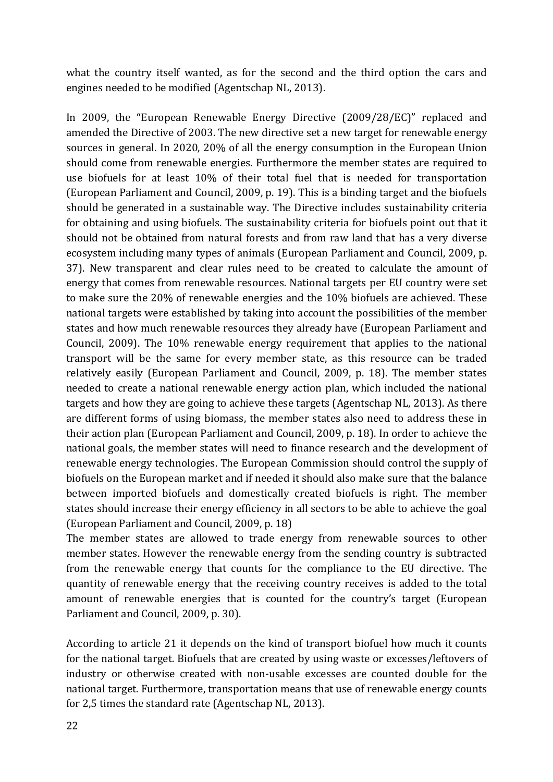what the country itself wanted, as for the second and the third option the cars and engines needed to be modified (Agentschap NL, 2013).

In 2009, the "European Renewable Energy Directive (2009/28/EC)" replaced and amended the Directive of 2003. The new directive set a new target for renewable energy sources in general. In 2020, 20% of all the energy consumption in the European Union should come from renewable energies. Furthermore the member states are required to use biofuels for at least 10% of their total fuel that is needed for transportation (European Parliament and Council, 2009, p. 19). This is a binding target and the biofuels should be generated in a sustainable way. The Directive includes sustainability criteria for obtaining and using biofuels. The sustainability criteria for biofuels point out that it should not be obtained from natural forests and from raw land that has a very diverse ecosystem including many types of animals (European Parliament and Council, 2009, p. 37). New transparent and clear rules need to be created to calculate the amount of energy that comes from renewable resources. National targets per EU country were set to make sure the 20% of renewable energies and the 10% biofuels are achieved. These national targets were established by taking into account the possibilities of the member states and how much renewable resources they already have (European Parliament and Council, 2009). The 10% renewable energy requirement that applies to the national transport will be the same for every member state, as this resource can be traded relatively easily (European Parliament and Council, 2009, p. 18). The member states needed to create a national renewable energy action plan, which included the national targets and how they are going to achieve these targets (Agentschap NL, 2013). As there are different forms of using biomass, the member states also need to address these in their action plan (European Parliament and Council, 2009, p. 18). In order to achieve the national goals, the member states will need to finance research and the development of renewable energy technologies. The European Commission should control the supply of biofuels on the European market and if needed it should also make sure that the balance between imported biofuels and domestically created biofuels is right. The member states should increase their energy efficiency in all sectors to be able to achieve the goal (European Parliament and Council, 2009, p. 18)

The member states are allowed to trade energy from renewable sources to other member states. However the renewable energy from the sending country is subtracted from the renewable energy that counts for the compliance to the EU directive. The quantity of renewable energy that the receiving country receives is added to the total amount of renewable energies that is counted for the country's target (European Parliament and Council, 2009, p. 30).

According to article 21 it depends on the kind of transport biofuel how much it counts for the national target. Biofuels that are created by using waste or excesses/leftovers of industry or otherwise created with non-usable excesses are counted double for the national target. Furthermore, transportation means that use of renewable energy counts for 2,5 times the standard rate (Agentschap NL, 2013).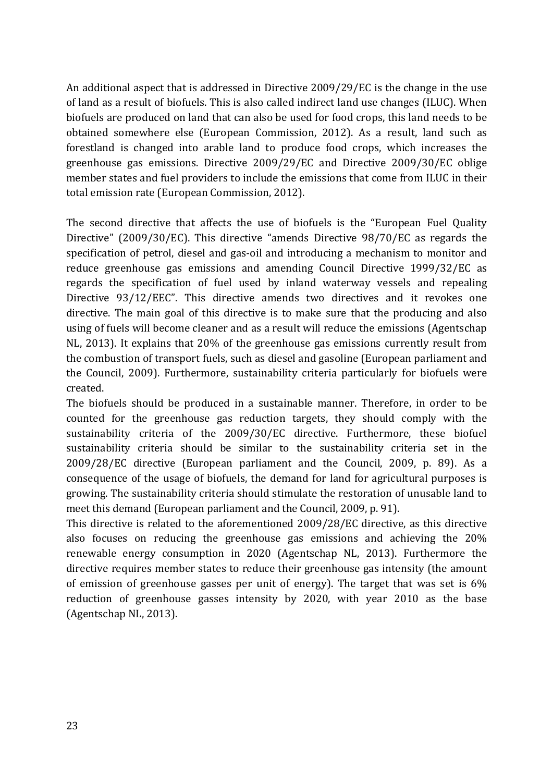An additional aspect that is addressed in Directive 2009/29/EC is the change in the use of land as a result of biofuels. This is also called indirect land use changes (ILUC). When biofuels are produced on land that can also be used for food crops, this land needs to be obtained somewhere else (European Commission, 2012). As a result, land such as forestland is changed into arable land to produce food crops, which increases the greenhouse gas emissions. Directive 2009/29/EC and Directive 2009/30/EC oblige member states and fuel providers to include the emissions that come from ILUC in their total emission rate (European Commission, 2012).

The second directive that affects the use of biofuels is the "European Fuel Quality Directive" (2009/30/EC). This directive "amends Directive 98/70/EC as regards the specification of petrol, diesel and gas-oil and introducing a mechanism to monitor and reduce greenhouse gas emissions and amending Council Directive 1999/32/EC as regards the specification of fuel used by inland waterway vessels and repealing Directive 93/12/EEC". This directive amends two directives and it revokes one directive. The main goal of this directive is to make sure that the producing and also using of fuels will become cleaner and as a result will reduce the emissions (Agentschap NL, 2013). It explains that 20% of the greenhouse gas emissions currently result from the combustion of transport fuels, such as diesel and gasoline (European parliament and the Council, 2009). Furthermore, sustainability criteria particularly for biofuels were created.

The biofuels should be produced in a sustainable manner. Therefore, in order to be counted for the greenhouse gas reduction targets, they should comply with the sustainability criteria of the 2009/30/EC directive. Furthermore, these biofuel sustainability criteria should be similar to the sustainability criteria set in the 2009/28/EC directive (European parliament and the Council, 2009, p. 89). As a consequence of the usage of biofuels, the demand for land for agricultural purposes is growing. The sustainability criteria should stimulate the restoration of unusable land to meet this demand (European parliament and the Council, 2009, p. 91).

This directive is related to the aforementioned 2009/28/EC directive, as this directive also focuses on reducing the greenhouse gas emissions and achieving the  $20\%$ renewable energy consumption in 2020 (Agentschap NL, 2013). Furthermore the directive requires member states to reduce their greenhouse gas intensity (the amount of emission of greenhouse gasses per unit of energy). The target that was set is  $6\%$ reduction of greenhouse gasses intensity by 2020, with year 2010 as the base (Agentschap NL, 2013).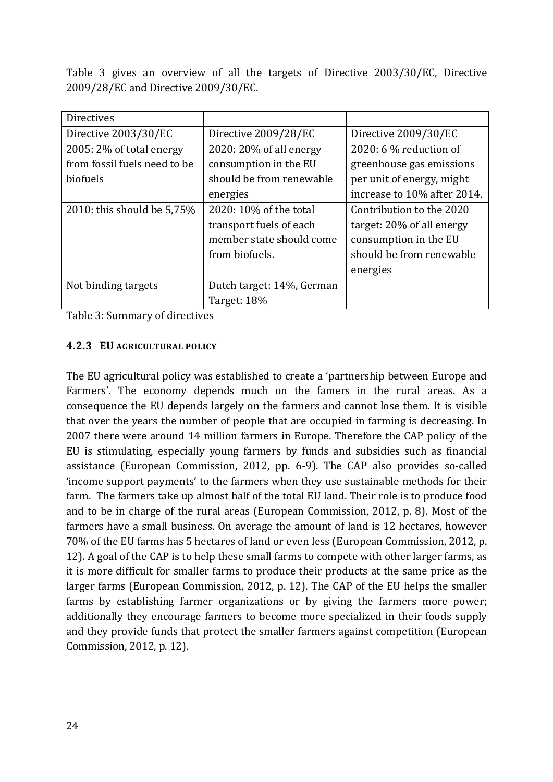Table 3 gives an overview of all the targets of Directive 2003/30/EC, Directive 2009/28/EC and Directive 2009/30/EC.

| <b>Directives</b>            |                           |                             |
|------------------------------|---------------------------|-----------------------------|
| Directive 2003/30/EC         | Directive 2009/28/EC      | Directive 2009/30/EC        |
| 2005: 2% of total energy     | 2020: 20% of all energy   | 2020: 6 $%$ reduction of    |
| from fossil fuels need to be | consumption in the EU     | greenhouse gas emissions    |
| biofuels                     | should be from renewable  | per unit of energy, might   |
|                              | energies                  | increase to 10% after 2014. |
| 2010: this should be 5,75%   | 2020: 10% of the total    | Contribution to the 2020    |
|                              | transport fuels of each   | target: 20% of all energy   |
|                              | member state should come  | consumption in the EU       |
|                              | from biofuels.            | should be from renewable    |
|                              |                           | energies                    |
| Not binding targets          | Dutch target: 14%, German |                             |
|                              | Target: 18%               |                             |

Table 3: Summary of directives

#### **4.2.3 EU AGRICULTURAL POLICY**

The EU agricultural policy was established to create a 'partnership between Europe and Farmers'. The economy depends much on the famers in the rural areas. As a consequence the EU depends largely on the farmers and cannot lose them. It is visible that over the years the number of people that are occupied in farming is decreasing. In 2007 there were around 14 million farmers in Europe. Therefore the CAP policy of the EU is stimulating, especially young farmers by funds and subsidies such as financial assistance (European Commission, 2012, pp. 6-9). The CAP also provides so-called 'income support payments' to the farmers when they use sustainable methods for their farm. The farmers take up almost half of the total EU land. Their role is to produce food and to be in charge of the rural areas (European Commission, 2012, p. 8). Most of the farmers have a small business. On average the amount of land is 12 hectares, however 70% of the EU farms has 5 hectares of land or even less (European Commission, 2012, p. 12). A goal of the CAP is to help these small farms to compete with other larger farms, as it is more difficult for smaller farms to produce their products at the same price as the larger farms (European Commission, 2012, p. 12). The CAP of the EU helps the smaller farms by establishing farmer organizations or by giving the farmers more power; additionally they encourage farmers to become more specialized in their foods supply and they provide funds that protect the smaller farmers against competition (European Commission, 2012, p. 12).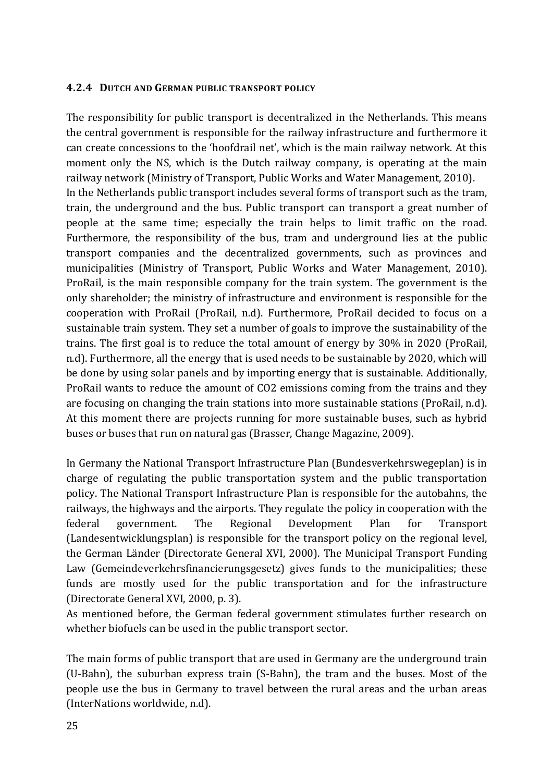#### **4.2.4 DUTCH AND GERMAN PUBLIC TRANSPORT POLICY**

The responsibility for public transport is decentralized in the Netherlands. This means the central government is responsible for the railway infrastructure and furthermore it can create concessions to the 'hoofdrail net', which is the main railway network. At this moment only the NS, which is the Dutch railway company, is operating at the main railway network (Ministry of Transport, Public Works and Water Management, 2010). In the Netherlands public transport includes several forms of transport such as the tram, train, the underground and the bus. Public transport can transport a great number of people at the same time; especially the train helps to limit traffic on the road. Furthermore, the responsibility of the bus, tram and underground lies at the public transport companies and the decentralized governments, such as provinces and municipalities (Ministry of Transport, Public Works and Water Management, 2010). ProRail, is the main responsible company for the train system. The government is the only shareholder; the ministry of infrastructure and environment is responsible for the cooperation with ProRail (ProRail, n.d). Furthermore, ProRail decided to focus on a sustainable train system. They set a number of goals to improve the sustainability of the trains. The first goal is to reduce the total amount of energy by 30% in 2020 (ProRail, n.d). Furthermore, all the energy that is used needs to be sustainable by 2020, which will be done by using solar panels and by importing energy that is sustainable. Additionally, ProRail wants to reduce the amount of CO2 emissions coming from the trains and they are focusing on changing the train stations into more sustainable stations (ProRail, n.d). At this moment there are projects running for more sustainable buses, such as hybrid buses or buses that run on natural gas (Brasser, Change Magazine, 2009).

In Germany the National Transport Infrastructure Plan (Bundesverkehrswegeplan) is in charge of regulating the public transportation system and the public transportation policy. The National Transport Infrastructure Plan is responsible for the autobahns, the railways, the highways and the airports. They regulate the policy in cooperation with the federal government. The Regional Development Plan for Transport (Landesentwicklungsplan) is responsible for the transport policy on the regional level, the German Länder (Directorate General XVI, 2000). The Municipal Transport Funding Law (Gemeindeverkehrsfinancierungsgesetz) gives funds to the municipalities; these funds are mostly used for the public transportation and for the infrastructure (Directorate General XVI, 2000, p. 3).

As mentioned before, the German federal government stimulates further research on whether biofuels can be used in the public transport sector.

The main forms of public transport that are used in Germany are the underground train (U-Bahn), the suburban express train (S-Bahn), the tram and the buses. Most of the people use the bus in Germany to travel between the rural areas and the urban areas (InterNations worldwide, n.d).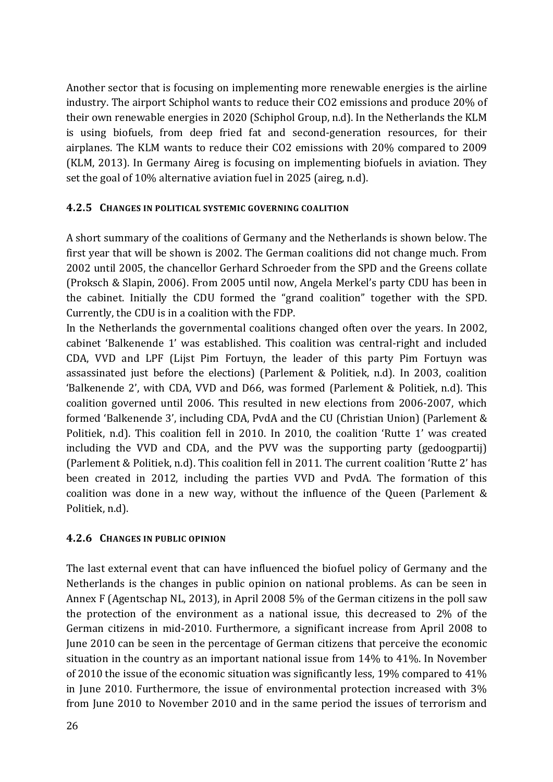Another sector that is focusing on implementing more renewable energies is the airline industry. The airport Schiphol wants to reduce their CO2 emissions and produce 20% of their own renewable energies in 2020 (Schiphol Group, n.d). In the Netherlands the KLM is using biofuels, from deep fried fat and second-generation resources, for their airplanes. The KLM wants to reduce their CO2 emissions with 20% compared to 2009 (KLM, 2013). In Germany Aireg is focusing on implementing biofuels in aviation. They set the goal of 10% alternative aviation fuel in 2025 (aireg, n.d).

#### **4.2.5 CHANGES IN POLITICAL SYSTEMIC GOVERNING COALITION**

A short summary of the coalitions of Germany and the Netherlands is shown below. The first year that will be shown is 2002. The German coalitions did not change much. From 2002 until 2005, the chancellor Gerhard Schroeder from the SPD and the Greens collate (Proksch & Slapin, 2006). From 2005 until now, Angela Merkel's party CDU has been in the cabinet. Initially the CDU formed the "grand coalition" together with the SPD. Currently, the CDU is in a coalition with the FDP.

In the Netherlands the governmental coalitions changed often over the years. In 2002, cabinet 'Balkenende 1' was established. This coalition was central-right and included CDA, VVD and LPF (Lijst Pim Fortuyn, the leader of this party Pim Fortuyn was assassinated just before the elections) (Parlement & Politiek, n.d). In 2003, coalition 'Balkenende 2', with CDA, VVD and D66, was formed (Parlement  $&$  Politiek, n.d). This coalition governed until 2006. This resulted in new elections from 2006-2007, which formed 'Balkenende 3', including CDA, PvdA and the CU (Christian Union) (Parlement  $&$ Politiek, n.d). This coalition fell in 2010. In 2010, the coalition 'Rutte 1' was created including the VVD and CDA, and the PVV was the supporting party (gedoogpartij) (Parlement & Politiek, n.d). This coalition fell in 2011. The current coalition 'Rutte 2' has been created in 2012, including the parties VVD and PvdA. The formation of this coalition was done in a new way, without the influence of the Queen (Parlement  $&$ Politiek, n.d).

#### **4.2.6 CHANGES IN PUBLIC OPINION**

The last external event that can have influenced the biofuel policy of Germany and the Netherlands is the changes in public opinion on national problems. As can be seen in Annex F (Agentschap NL, 2013), in April 2008 5% of the German citizens in the poll saw the protection of the environment as a national issue, this decreased to  $2\%$  of the German citizens in mid-2010. Furthermore, a significant increase from April 2008 to June 2010 can be seen in the percentage of German citizens that perceive the economic situation in the country as an important national issue from  $14\%$  to  $41\%$ . In November of 2010 the issue of the economic situation was significantly less, 19% compared to  $41%$ in June  $2010$ . Furthermore, the issue of environmental protection increased with  $3\%$ from June 2010 to November 2010 and in the same period the issues of terrorism and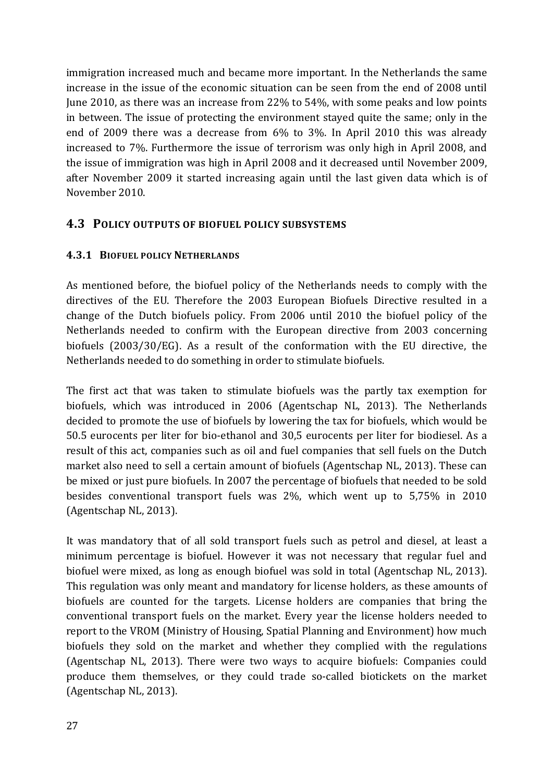immigration increased much and became more important. In the Netherlands the same increase in the issue of the economic situation can be seen from the end of 2008 until June 2010, as there was an increase from  $22\%$  to 54%, with some peaks and low points in between. The issue of protecting the environment stayed quite the same; only in the end of 2009 there was a decrease from  $6\%$  to  $3\%$ . In April 2010 this was already increased to 7%. Furthermore the issue of terrorism was only high in April 2008, and the issue of immigration was high in April 2008 and it decreased until November 2009, after November 2009 it started increasing again until the last given data which is of November 2010.

## **4.3 POLICY OUTPUTS OF BIOFUEL POLICY SUBSYSTEMS**

### **4.3.1 BIOFUEL POLICY NETHERLANDS**

As mentioned before, the biofuel policy of the Netherlands needs to comply with the directives of the EU. Therefore the 2003 European Biofuels Directive resulted in a change of the Dutch biofuels policy. From 2006 until 2010 the biofuel policy of the Netherlands needed to confirm with the European directive from 2003 concerning biofuels (2003/30/EG). As a result of the conformation with the EU directive, the Netherlands needed to do something in order to stimulate biofuels.

The first act that was taken to stimulate biofuels was the partly tax exemption for biofuels, which was introduced in 2006 (Agentschap NL, 2013). The Netherlands decided to promote the use of biofuels by lowering the tax for biofuels, which would be 50.5 eurocents per liter for bio-ethanol and 30,5 eurocents per liter for biodiesel. As a result of this act, companies such as oil and fuel companies that sell fuels on the Dutch market also need to sell a certain amount of biofuels (Agentschap NL, 2013). These can be mixed or just pure biofuels. In 2007 the percentage of biofuels that needed to be sold besides conventional transport fuels was  $2\%$ , which went up to  $5,75\%$  in 2010 (Agentschap NL, 2013).

It was mandatory that of all sold transport fuels such as petrol and diesel, at least a minimum percentage is biofuel. However it was not necessary that regular fuel and biofuel were mixed, as long as enough biofuel was sold in total (Agentschap NL, 2013). This regulation was only meant and mandatory for license holders, as these amounts of biofuels are counted for the targets. License holders are companies that bring the conventional transport fuels on the market. Every year the license holders needed to report to the VROM (Ministry of Housing, Spatial Planning and Environment) how much biofuels they sold on the market and whether they complied with the regulations (Agentschap NL, 2013). There were two ways to acquire biofuels: Companies could produce them themselves, or they could trade so-called biotickets on the market (Agentschap NL, 2013).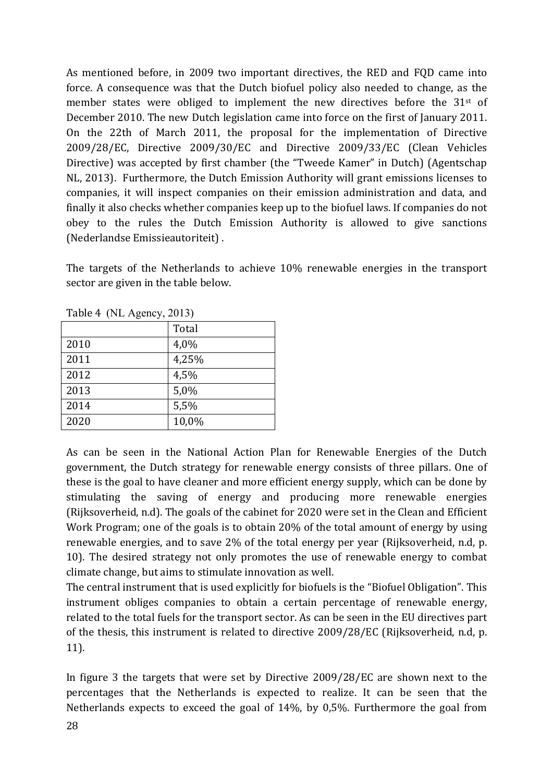As mentioned before, in 2009 two important directives, the RED and FQD came into force. A consequence was that the Dutch biofuel policy also needed to change, as the member states were obliged to implement the new directives before the  $31<sup>st</sup>$  of December 2010. The new Dutch legislation came into force on the first of January 2011. On the 22th of March 2011, the proposal for the implementation of Directive 2009/28/EC, Directive 2009/30/EC and Directive 2009/33/EC (Clean Vehicles Directive) was accepted by first chamber (the "Tweede Kamer" in Dutch) (Agentschap NL, 2013). Furthermore, the Dutch Emission Authority will grant emissions licenses to companies, it will inspect companies on their emission administration and data, and finally it also checks whether companies keep up to the biofuel laws. If companies do not obey to the rules the Dutch Emission Authority is allowed to give sanctions (Nederlandse Emissieautoriteit).

The targets of the Netherlands to achieve 10% renewable energies in the transport sector are given in the table below.

| $14012 + 145012$ , $2013$ |       |  |  |  |  |
|---------------------------|-------|--|--|--|--|
|                           | Total |  |  |  |  |
| 2010                      | 4,0%  |  |  |  |  |
| 2011                      | 4,25% |  |  |  |  |
| 2012                      | 4,5%  |  |  |  |  |
| 2013                      | 5,0%  |  |  |  |  |
| 2014                      | 5,5%  |  |  |  |  |
| 2020                      | 10,0% |  |  |  |  |

 $Table 4$  (NI Agency, 2013)

As can be seen in the National Action Plan for Renewable Energies of the Dutch government, the Dutch strategy for renewable energy consists of three pillars. One of these is the goal to have cleaner and more efficient energy supply, which can be done by stimulating the saving of energy and producing more renewable energies (Rijksoverheid, n.d). The goals of the cabinet for 2020 were set in the Clean and Efficient Work Program; one of the goals is to obtain 20% of the total amount of energy by using renewable energies, and to save 2% of the total energy per year (Rijksoverheid, n.d, p. 10). The desired strategy not only promotes the use of renewable energy to combat climate change, but aims to stimulate innovation as well.

The central instrument that is used explicitly for biofuels is the "Biofuel Obligation". This instrument obliges companies to obtain a certain percentage of renewable energy, related to the total fuels for the transport sector. As can be seen in the EU directives part of the thesis, this instrument is related to directive  $2009/28/EC$  (Rijksoverheid, n.d, p. 11).

In figure 3 the targets that were set by Directive  $2009/28/EC$  are shown next to the percentages that the Netherlands is expected to realize. It can be seen that the Netherlands expects to exceed the goal of  $14\%$ , by 0,5%. Furthermore the goal from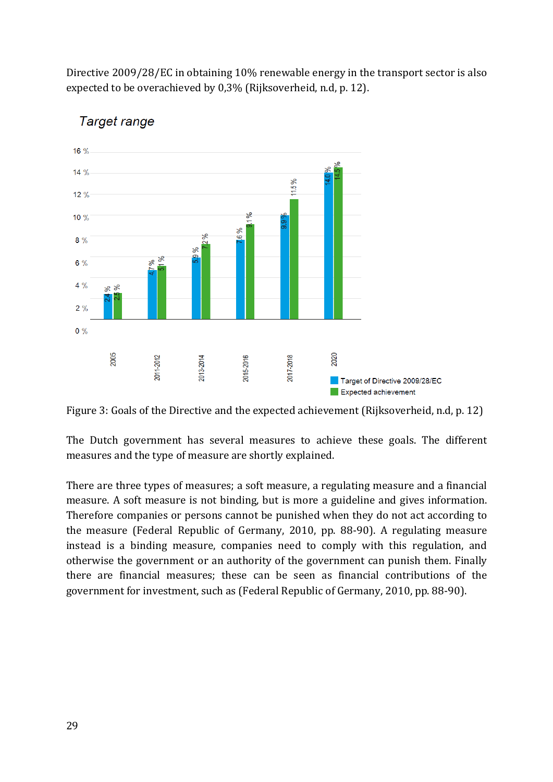Directive 2009/28/EC in obtaining 10% renewable energy in the transport sector is also expected to be overachieved by 0.3% (Rijksoverheid, n.d, p. 12).



# Target range

Figure 3: Goals of the Directive and the expected achievement (Rijksoverheid, n.d, p. 12)

The Dutch government has several measures to achieve these goals. The different measures and the type of measure are shortly explained.

There are three types of measures; a soft measure, a regulating measure and a financial measure. A soft measure is not binding, but is more a guideline and gives information. Therefore companies or persons cannot be punished when they do not act according to the measure (Federal Republic of Germany, 2010, pp. 88-90). A regulating measure instead is a binding measure, companies need to comply with this regulation, and otherwise the government or an authority of the government can punish them. Finally there are financial measures; these can be seen as financial contributions of the government for investment, such as (Federal Republic of Germany, 2010, pp. 88-90).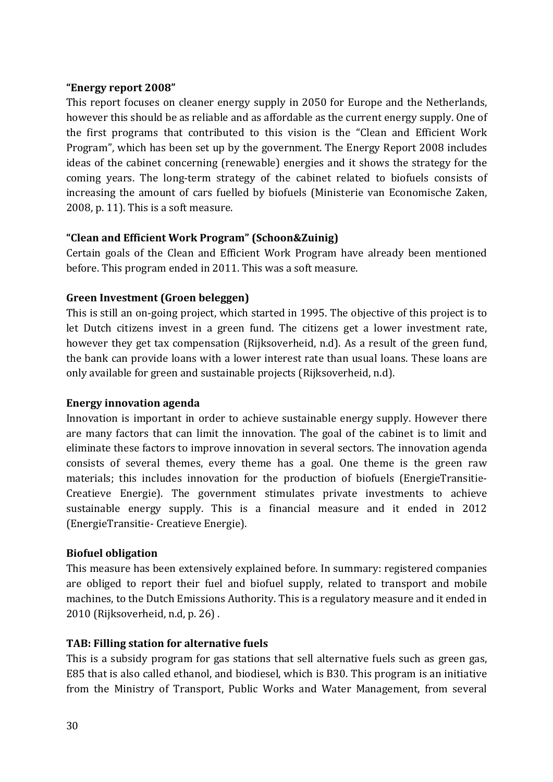#### **"Energy report 2008"**

This report focuses on cleaner energy supply in 2050 for Europe and the Netherlands, however this should be as reliable and as affordable as the current energy supply. One of the first programs that contributed to this vision is the "Clean and Efficient Work Program", which has been set up by the government. The Energy Report 2008 includes ideas of the cabinet concerning (renewable) energies and it shows the strategy for the coming years. The long-term strategy of the cabinet related to biofuels consists of increasing the amount of cars fuelled by biofuels (Ministerie van Economische Zaken, 2008, p.  $11$ ). This is a soft measure.

#### **"Clean and Efficient Work Program" (Schoon&Zuinig)**

Certain goals of the Clean and Efficient Work Program have already been mentioned before. This program ended in 2011. This was a soft measure.

#### Green Investment (Groen beleggen)

This is still an on-going project, which started in 1995. The objective of this project is to let Dutch citizens invest in a green fund. The citizens get a lower investment rate, however they get tax compensation (Rijksoverheid, n.d). As a result of the green fund, the bank can provide loans with a lower interest rate than usual loans. These loans are only available for green and sustainable projects (Rijksoverheid, n.d).

#### **Energy innovation agenda**

Innovation is important in order to achieve sustainable energy supply. However there are many factors that can limit the innovation. The goal of the cabinet is to limit and eliminate these factors to improve innovation in several sectors. The innovation agenda consists of several themes, every theme has a goal. One theme is the green raw materials; this includes innovation for the production of biofuels (EnergieTransitie-Creatieve Energie). The government stimulates private investments to achieve sustainable energy supply. This is a financial measure and it ended in 2012 (EnergieTransitie- Creatieve Energie).

#### **Biofuel obligation**

This measure has been extensively explained before. In summary: registered companies are obliged to report their fuel and biofuel supply, related to transport and mobile machines, to the Dutch Emissions Authority. This is a regulatory measure and it ended in 2010 (Rijksoverheid, n.d, p. 26).

#### **TAB: Filling station for alternative fuels**

This is a subsidy program for gas stations that sell alternative fuels such as green gas, E85 that is also called ethanol, and biodiesel, which is B30. This program is an initiative from the Ministry of Transport, Public Works and Water Management, from several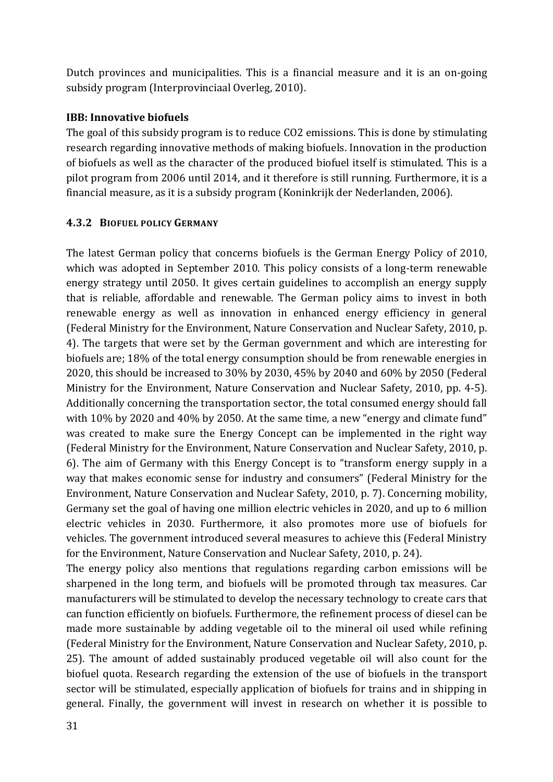Dutch provinces and municipalities. This is a financial measure and it is an on-going subsidy program (Interprovinciaal Overleg, 2010).

#### **IBB: Innovative biofuels**

The goal of this subsidy program is to reduce CO2 emissions. This is done by stimulating research regarding innovative methods of making biofuels. Innovation in the production of biofuels as well as the character of the produced biofuel itself is stimulated. This is a pilot program from 2006 until 2014, and it therefore is still running. Furthermore, it is a financial measure, as it is a subsidy program (Koninkrijk der Nederlanden, 2006).

### **4.3.2 BIOFUEL POLICY GERMANY**

The latest German policy that concerns biofuels is the German Energy Policy of 2010, which was adopted in September 2010. This policy consists of a long-term renewable energy strategy until 2050. It gives certain guidelines to accomplish an energy supply that is reliable, affordable and renewable. The German policy aims to invest in both renewable energy as well as innovation in enhanced energy efficiency in general (Federal Ministry for the Environment, Nature Conservation and Nuclear Safety, 2010, p. 4). The targets that were set by the German government and which are interesting for biofuels are; 18% of the total energy consumption should be from renewable energies in 2020, this should be increased to 30% by 2030, 45% by 2040 and 60% by 2050 (Federal Ministry for the Environment, Nature Conservation and Nuclear Safety, 2010, pp. 4-5). Additionally concerning the transportation sector, the total consumed energy should fall with  $10\%$  by 2020 and  $40\%$  by 2050. At the same time, a new "energy and climate fund" was created to make sure the Energy Concept can be implemented in the right way (Federal Ministry for the Environment, Nature Conservation and Nuclear Safety, 2010, p. 6). The aim of Germany with this Energy Concept is to "transform energy supply in a way that makes economic sense for industry and consumers" (Federal Ministry for the Environment, Nature Conservation and Nuclear Safety, 2010, p. 7). Concerning mobility, Germany set the goal of having one million electric vehicles in 2020, and up to 6 million electric vehicles in 2030. Furthermore, it also promotes more use of biofuels for vehicles. The government introduced several measures to achieve this (Federal Ministry for the Environment, Nature Conservation and Nuclear Safety, 2010, p. 24).

The energy policy also mentions that regulations regarding carbon emissions will be sharpened in the long term, and biofuels will be promoted through tax measures. Car manufacturers will be stimulated to develop the necessary technology to create cars that can function efficiently on biofuels. Furthermore, the refinement process of diesel can be made more sustainable by adding vegetable oil to the mineral oil used while refining (Federal Ministry for the Environment, Nature Conservation and Nuclear Safety, 2010, p. 25). The amount of added sustainably produced vegetable oil will also count for the biofuel quota. Research regarding the extension of the use of biofuels in the transport sector will be stimulated, especially application of biofuels for trains and in shipping in general. Finally, the government will invest in research on whether it is possible to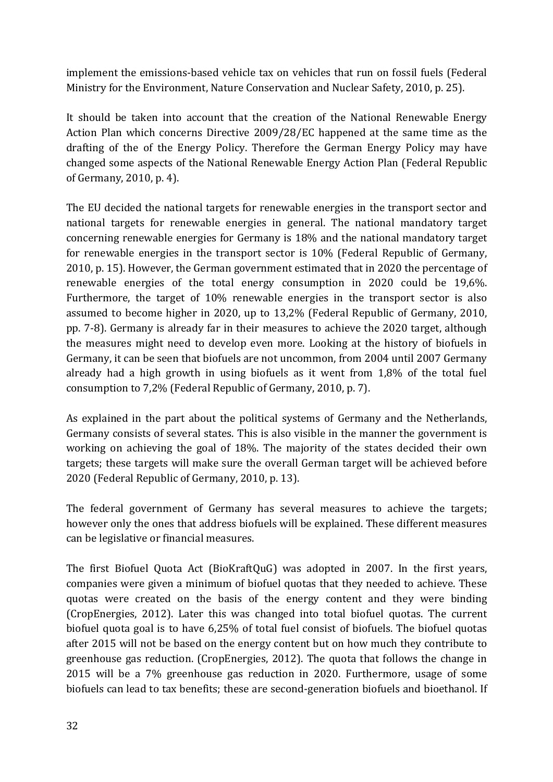implement the emissions-based vehicle tax on vehicles that run on fossil fuels (Federal Ministry for the Environment, Nature Conservation and Nuclear Safety, 2010, p. 25).

It should be taken into account that the creation of the National Renewable Energy Action Plan which concerns Directive 2009/28/EC happened at the same time as the drafting of the of the Energy Policy. Therefore the German Energy Policy may have changed some aspects of the National Renewable Energy Action Plan (Federal Republic of Germany, 2010, p. 4).

The EU decided the national targets for renewable energies in the transport sector and national targets for renewable energies in general. The national mandatory target concerning renewable energies for Germany is 18% and the national mandatory target for renewable energies in the transport sector is  $10\%$  (Federal Republic of Germany, 2010, p. 15). However, the German government estimated that in 2020 the percentage of renewable energies of the total energy consumption in  $2020$  could be  $19,6\%$ . Furthermore, the target of  $10\%$  renewable energies in the transport sector is also assumed to become higher in 2020, up to  $13.2\%$  (Federal Republic of Germany, 2010, pp. 7-8). Germany is already far in their measures to achieve the 2020 target, although the measures might need to develop even more. Looking at the history of biofuels in Germany, it can be seen that biofuels are not uncommon, from 2004 until 2007 Germany already had a high growth in using biofuels as it went from  $1,8\%$  of the total fuel consumption to 7,2% (Federal Republic of Germany, 2010, p. 7).

As explained in the part about the political systems of Germany and the Netherlands, Germany consists of several states. This is also visible in the manner the government is working on achieving the goal of 18%. The majority of the states decided their own targets; these targets will make sure the overall German target will be achieved before 2020 (Federal Republic of Germany, 2010, p. 13).

The federal government of Germany has several measures to achieve the targets; however only the ones that address biofuels will be explained. These different measures can be legislative or financial measures.

The first Biofuel Ouota Act (BioKraftOuG) was adopted in 2007. In the first vears, companies were given a minimum of biofuel quotas that they needed to achieve. These quotas were created on the basis of the energy content and they were binding (CropEnergies, 2012). Later this was changed into total biofuel quotas. The current biofuel quota goal is to have 6,25% of total fuel consist of biofuels. The biofuel quotas after 2015 will not be based on the energy content but on how much they contribute to greenhouse gas reduction. (CropEnergies, 2012). The quota that follows the change in 2015 will be a 7% greenhouse gas reduction in 2020. Furthermore, usage of some biofuels can lead to tax benefits; these are second-generation biofuels and bioethanol. If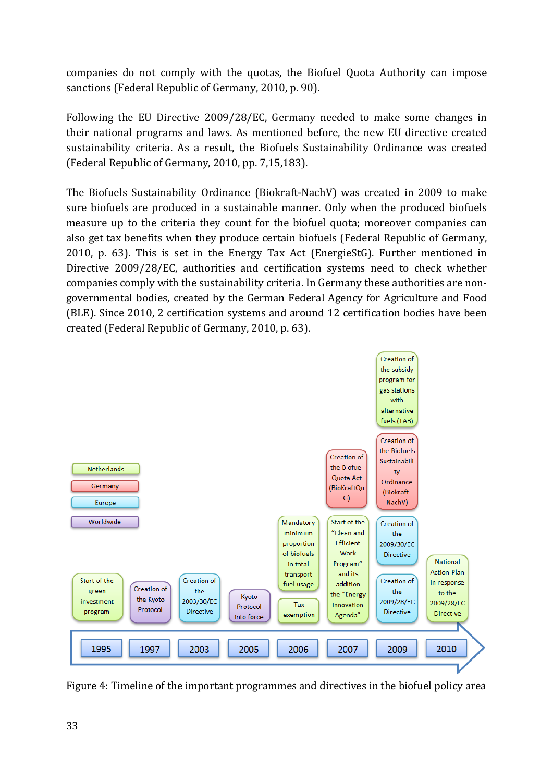companies do not comply with the quotas, the Biofuel Quota Authority can impose sanctions (Federal Republic of Germany, 2010, p. 90).

Following the EU Directive 2009/28/EC, Germany needed to make some changes in their national programs and laws. As mentioned before, the new EU directive created sustainability criteria. As a result, the Biofuels Sustainability Ordinance was created (Federal Republic of Germany, 2010, pp. 7,15,183).

The Biofuels Sustainability Ordinance (Biokraft-NachV) was created in 2009 to make sure biofuels are produced in a sustainable manner. Only when the produced biofuels measure up to the criteria they count for the biofuel quota; moreover companies can also get tax benefits when they produce certain biofuels (Federal Republic of Germany, 2010, p.  $63$ ). This is set in the Energy Tax Act (EnergieStG). Further mentioned in Directive 2009/28/EC, authorities and certification systems need to check whether companies comply with the sustainability criteria. In Germany these authorities are nongovernmental bodies, created by the German Federal Agency for Agriculture and Food (BLE). Since 2010, 2 certification systems and around 12 certification bodies have been created (Federal Republic of Germany, 2010, p. 63).



Figure 4: Timeline of the important programmes and directives in the biofuel policy area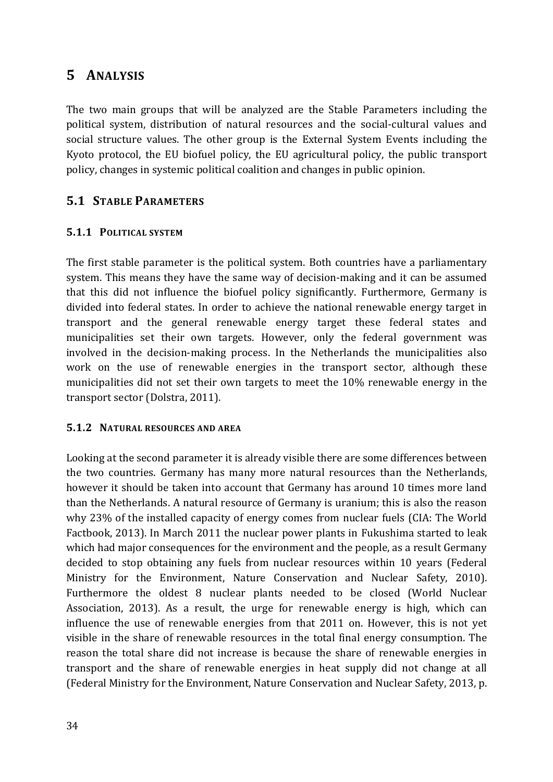# **5 ANALYSIS**

The two main groups that will be analyzed are the Stable Parameters including the political system, distribution of natural resources and the social-cultural values and social structure values. The other group is the External System Events including the Kyoto protocol, the EU biofuel policy, the EU agricultural policy, the public transport policy, changes in systemic political coalition and changes in public opinion.

## **5.1 STABLE PARAMETERS**

#### **5.1.1 POLITICAL SYSTEM**

The first stable parameter is the political system. Both countries have a parliamentary system. This means they have the same way of decision-making and it can be assumed that this did not influence the biofuel policy significantly. Furthermore, Germany is divided into federal states. In order to achieve the national renewable energy target in transport and the general renewable energy target these federal states and municipalities set their own targets. However, only the federal government was involved in the decision-making process. In the Netherlands the municipalities also work on the use of renewable energies in the transport sector, although these municipalities did not set their own targets to meet the 10% renewable energy in the transport sector (Dolstra, 2011).

#### **5.1.2 NATURAL RESOURCES AND AREA**

Looking at the second parameter it is already visible there are some differences between the two countries. Germany has many more natural resources than the Netherlands, however it should be taken into account that Germany has around 10 times more land than the Netherlands. A natural resource of Germany is uranium; this is also the reason why 23% of the installed capacity of energy comes from nuclear fuels (CIA: The World Factbook, 2013). In March 2011 the nuclear power plants in Fukushima started to leak which had major consequences for the environment and the people, as a result Germany decided to stop obtaining any fuels from nuclear resources within 10 years (Federal Ministry for the Environment, Nature Conservation and Nuclear Safety, 2010). Furthermore the oldest 8 nuclear plants needed to be closed (World Nuclear Association, 2013). As a result, the urge for renewable energy is high, which can influence the use of renewable energies from that 2011 on. However, this is not yet visible in the share of renewable resources in the total final energy consumption. The reason the total share did not increase is because the share of renewable energies in transport and the share of renewable energies in heat supply did not change at all (Federal Ministry for the Environment, Nature Conservation and Nuclear Safety, 2013, p.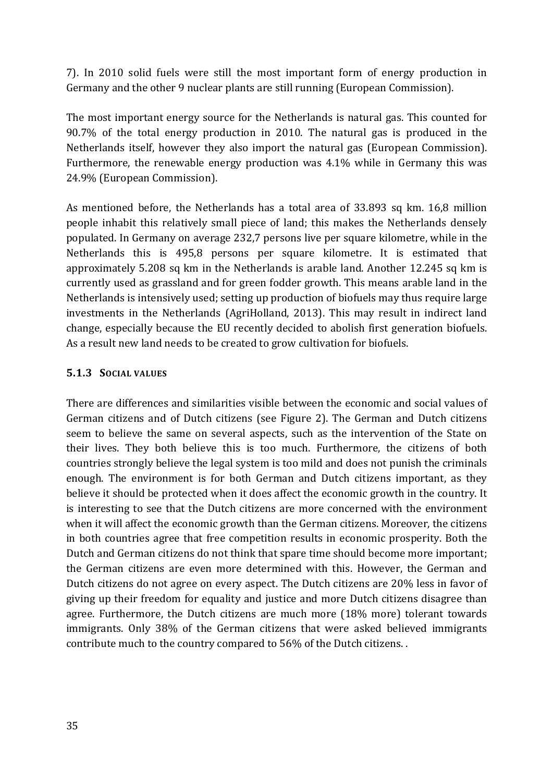7). In 2010 solid fuels were still the most important form of energy production in Germany and the other 9 nuclear plants are still running (European Commission).

The most important energy source for the Netherlands is natural gas. This counted for  $90.7\%$  of the total energy production in 2010. The natural gas is produced in the Netherlands itself, however they also import the natural gas (European Commission). Furthermore, the renewable energy production was  $4.1\%$  while in Germany this was 24.9% (European Commission).

As mentioned before, the Netherlands has a total area of 33.893 sq km. 16,8 million people inhabit this relatively small piece of land; this makes the Netherlands densely populated. In Germany on average 232,7 persons live per square kilometre, while in the Netherlands this is 495,8 persons per square kilometre. It is estimated that approximately 5.208 sq km in the Netherlands is arable land. Another 12.245 sq km is currently used as grassland and for green fodder growth. This means arable land in the Netherlands is intensively used; setting up production of biofuels may thus require large investments in the Netherlands (AgriHolland, 2013). This may result in indirect land change, especially because the EU recently decided to abolish first generation biofuels. As a result new land needs to be created to grow cultivation for biofuels.

#### **5.1.3 SOCIAL VALUES**

There are differences and similarities visible between the economic and social values of German citizens and of Dutch citizens (see Figure 2). The German and Dutch citizens seem to believe the same on several aspects, such as the intervention of the State on their lives. They both believe this is too much. Furthermore, the citizens of both countries strongly believe the legal system is too mild and does not punish the criminals enough. The environment is for both German and Dutch citizens important, as they believe it should be protected when it does affect the economic growth in the country. It is interesting to see that the Dutch citizens are more concerned with the environment when it will affect the economic growth than the German citizens. Moreover, the citizens in both countries agree that free competition results in economic prosperity. Both the Dutch and German citizens do not think that spare time should become more important; the German citizens are even more determined with this. However, the German and Dutch citizens do not agree on every aspect. The Dutch citizens are 20% less in favor of giving up their freedom for equality and justice and more Dutch citizens disagree than agree. Furthermore, the Dutch citizens are much more (18% more) tolerant towards immigrants. Only 38% of the German citizens that were asked believed immigrants contribute much to the country compared to 56% of the Dutch citizens..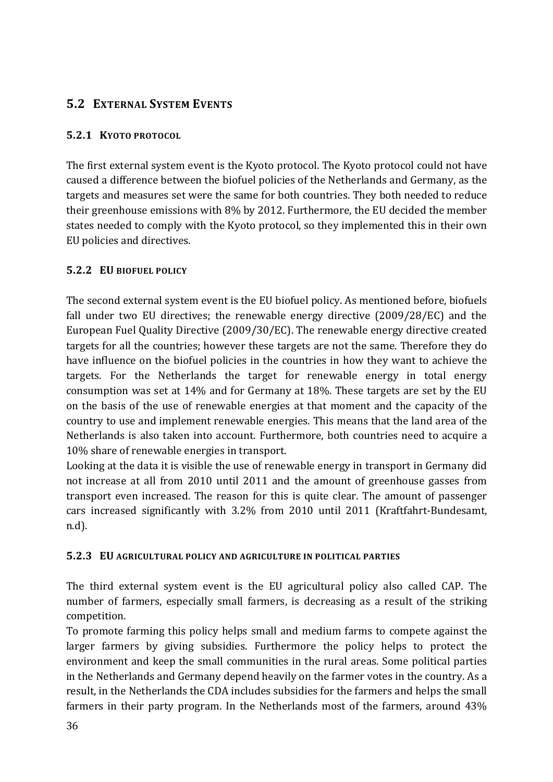# **5.2 EXTERNAL SYSTEM EVENTS**

#### **5.2.1 KYOTO PROTOCOL**

The first external system event is the Kyoto protocol. The Kyoto protocol could not have caused a difference between the biofuel policies of the Netherlands and Germany, as the targets and measures set were the same for both countries. They both needed to reduce their greenhouse emissions with  $8\%$  by 2012. Furthermore, the EU decided the member states needed to comply with the Kyoto protocol, so they implemented this in their own EU policies and directives.

### **5.2.2 EU BIOFUEL POLICY**

The second external system event is the EU biofuel policy. As mentioned before, biofuels fall under two EU directives; the renewable energy directive  $(2009/28/EC)$  and the European Fuel Quality Directive  $(2009/30/EC)$ . The renewable energy directive created targets for all the countries; however these targets are not the same. Therefore they do have influence on the biofuel policies in the countries in how they want to achieve the targets. For the Netherlands the target for renewable energy in total energy consumption was set at 14% and for Germany at 18%. These targets are set by the EU on the basis of the use of renewable energies at that moment and the capacity of the country to use and implement renewable energies. This means that the land area of the Netherlands is also taken into account. Furthermore, both countries need to acquire a 10% share of renewable energies in transport.

Looking at the data it is visible the use of renewable energy in transport in Germany did not increase at all from 2010 until 2011 and the amount of greenhouse gasses from transport even increased. The reason for this is quite clear. The amount of passenger cars increased significantly with  $3.2\%$  from 2010 until 2011 (Kraftfahrt-Bundesamt, n.d).

#### **5.2.3 EU AGRICULTURAL POLICY AND AGRICULTURE IN POLITICAL PARTIES**

The third external system event is the EU agricultural policy also called CAP. The number of farmers, especially small farmers, is decreasing as a result of the striking competition. 

To promote farming this policy helps small and medium farms to compete against the larger farmers by giving subsidies. Furthermore the policy helps to protect the environment and keep the small communities in the rural areas. Some political parties in the Netherlands and Germany depend heavily on the farmer votes in the country. As a result, in the Netherlands the CDA includes subsidies for the farmers and helps the small farmers in their party program. In the Netherlands most of the farmers, around  $43\%$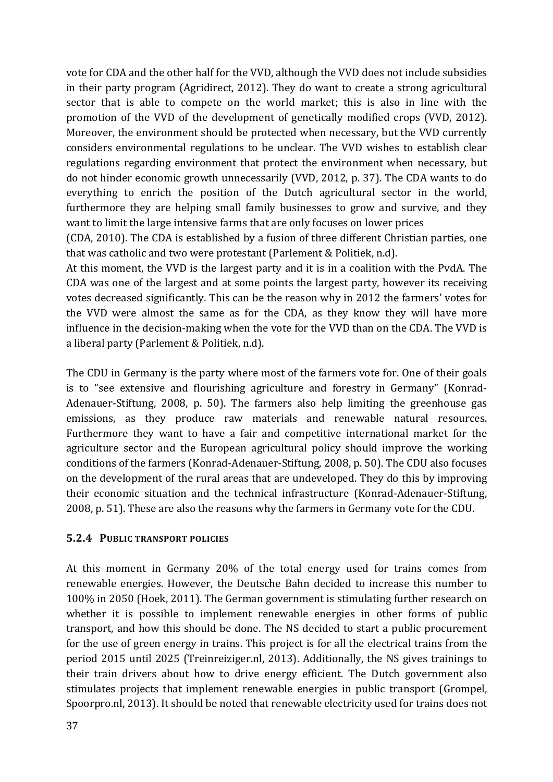vote for CDA and the other half for the VVD, although the VVD does not include subsidies in their party program (Agridirect, 2012). They do want to create a strong agricultural sector that is able to compete on the world market; this is also in line with the promotion of the VVD of the development of genetically modified crops (VVD, 2012). Moreover, the environment should be protected when necessary, but the VVD currently considers environmental regulations to be unclear. The VVD wishes to establish clear regulations regarding environment that protect the environment when necessary, but do not hinder economic growth unnecessarily (VVD, 2012, p. 37). The CDA wants to do everything to enrich the position of the Dutch agricultural sector in the world, furthermore they are helping small family businesses to grow and survive, and they want to limit the large intensive farms that are only focuses on lower prices

(CDA, 2010). The CDA is established by a fusion of three different Christian parties, one that was catholic and two were protestant (Parlement & Politiek, n.d).

At this moment, the VVD is the largest party and it is in a coalition with the PvdA. The CDA was one of the largest and at some points the largest party, however its receiving votes decreased significantly. This can be the reason why in 2012 the farmers' votes for the VVD were almost the same as for the CDA, as they know they will have more influence in the decision-making when the vote for the VVD than on the CDA. The VVD is a liberal party (Parlement & Politiek, n.d).

The CDU in Germany is the party where most of the farmers vote for. One of their goals is to "see extensive and flourishing agriculture and forestry in Germany" (Konrad-Adenauer-Stiftung, 2008, p. 50). The farmers also help limiting the greenhouse gas emissions, as they produce raw materials and renewable natural resources. Furthermore they want to have a fair and competitive international market for the agriculture sector and the European agricultural policy should improve the working conditions of the farmers (Konrad-Adenauer-Stiftung, 2008, p. 50). The CDU also focuses on the development of the rural areas that are undeveloped. They do this by improving their economic situation and the technical infrastructure (Konrad-Adenauer-Stiftung, 2008, p. 51). These are also the reasons why the farmers in Germany vote for the CDU.

#### **5.2.4 PUBLIC TRANSPORT POLICIES**

At this moment in Germany 20% of the total energy used for trains comes from renewable energies. However, the Deutsche Bahn decided to increase this number to 100% in 2050 (Hoek, 2011). The German government is stimulating further research on whether it is possible to implement renewable energies in other forms of public transport, and how this should be done. The NS decided to start a public procurement for the use of green energy in trains. This project is for all the electrical trains from the period 2015 until 2025 (Treinreiziger.nl, 2013). Additionally, the NS gives trainings to their train drivers about how to drive energy efficient. The Dutch government also stimulates projects that implement renewable energies in public transport (Grompel, Spoorpro.nl, 2013). It should be noted that renewable electricity used for trains does not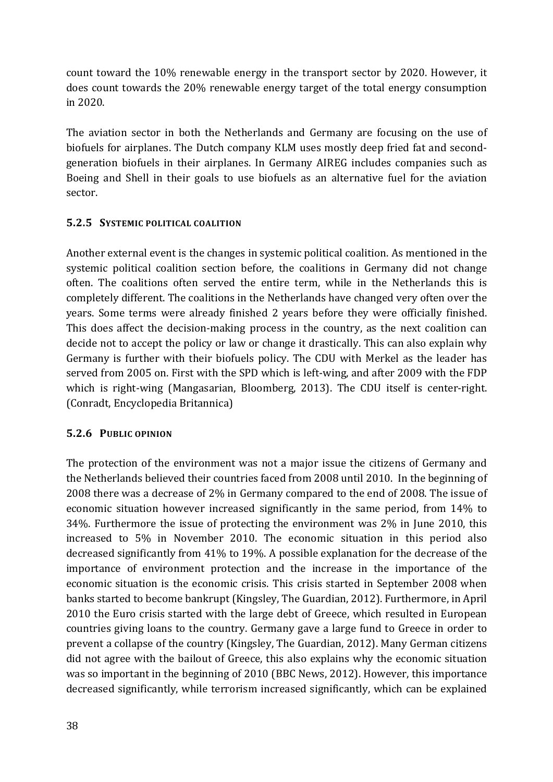count toward the  $10\%$  renewable energy in the transport sector by 2020. However, it does count towards the 20% renewable energy target of the total energy consumption in 2020. 

The aviation sector in both the Netherlands and Germany are focusing on the use of biofuels for airplanes. The Dutch company KLM uses mostly deep fried fat and secondgeneration biofuels in their airplanes. In Germany AIREG includes companies such as Boeing and Shell in their goals to use biofuels as an alternative fuel for the aviation sector. 

### **5.2.5 SYSTEMIC POLITICAL COALITION**

Another external event is the changes in systemic political coalition. As mentioned in the systemic political coalition section before, the coalitions in Germany did not change often. The coalitions often served the entire term, while in the Netherlands this is completely different. The coalitions in the Netherlands have changed very often over the years. Some terms were already finished 2 years before they were officially finished. This does affect the decision-making process in the country, as the next coalition can decide not to accept the policy or law or change it drastically. This can also explain why Germany is further with their biofuels policy. The CDU with Merkel as the leader has served from 2005 on. First with the SPD which is left-wing, and after 2009 with the FDP which is right-wing (Mangasarian, Bloomberg, 2013). The CDU itself is center-right. (Conradt, Encyclopedia Britannica)

#### **5.2.6 PUBLIC OPINION**

The protection of the environment was not a major issue the citizens of Germany and the Netherlands believed their countries faced from 2008 until 2010. In the beginning of 2008 there was a decrease of  $2\%$  in Germany compared to the end of 2008. The issue of economic situation however increased significantly in the same period, from 14% to 34%. Furthermore the issue of protecting the environment was  $2\%$  in June 2010, this increased to 5% in November 2010. The economic situation in this period also decreased significantly from 41% to 19%. A possible explanation for the decrease of the importance of environment protection and the increase in the importance of the economic situation is the economic crisis. This crisis started in September 2008 when banks started to become bankrupt (Kingsley, The Guardian, 2012). Furthermore, in April 2010 the Euro crisis started with the large debt of Greece, which resulted in European countries giving loans to the country. Germany gave a large fund to Greece in order to prevent a collapse of the country (Kingsley, The Guardian, 2012). Many German citizens did not agree with the bailout of Greece, this also explains why the economic situation was so important in the beginning of 2010 (BBC News, 2012). However, this importance decreased significantly, while terrorism increased significantly, which can be explained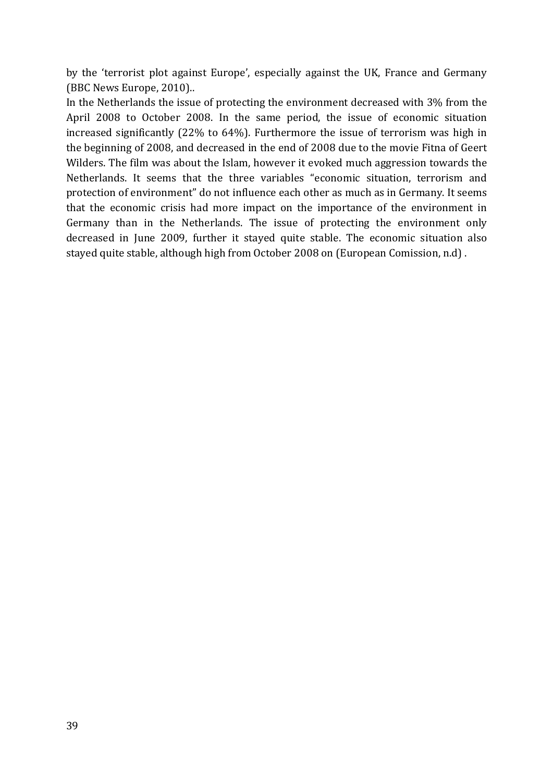by the 'terrorist plot against Europe', especially against the UK, France and Germany (BBC News Europe, 2010)..

In the Netherlands the issue of protecting the environment decreased with 3% from the April 2008 to October 2008. In the same period, the issue of economic situation increased significantly  $(22\%$  to  $64\%)$ . Furthermore the issue of terrorism was high in the beginning of 2008, and decreased in the end of 2008 due to the movie Fitna of Geert Wilders. The film was about the Islam, however it evoked much aggression towards the Netherlands. It seems that the three variables "economic situation, terrorism and protection of environment" do not influence each other as much as in Germany. It seems that the economic crisis had more impact on the importance of the environment in Germany than in the Netherlands. The issue of protecting the environment only decreased in June 2009, further it stayed quite stable. The economic situation also stayed quite stable, although high from October 2008 on (European Comission, n.d).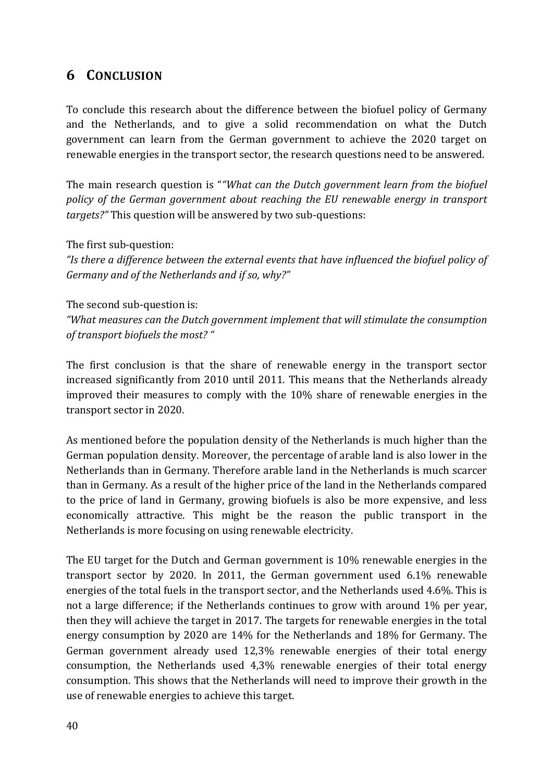# **6 CONCLUSION**

To conclude this research about the difference between the biofuel policy of Germany and the Netherlands, and to give a solid recommendation on what the Dutch government can learn from the German government to achieve the 2020 target on renewable energies in the transport sector, the research questions need to be answered.

The main research question is ""What can the Dutch government learn from the biofuel policy of the German government about reaching the EU renewable energy in transport *targets?"* This question will be answered by two sub-questions:

The first sub-question:

"Is there a difference between the external events that have *influenced* the biofuel policy of Germany and of the Netherlands and if so, why?"

The second sub-question is:

"What measures can the Dutch government implement that will stimulate the consumption of transport biofuels the most? "

The first conclusion is that the share of renewable energy in the transport sector increased significantly from 2010 until 2011. This means that the Netherlands already improved their measures to comply with the 10% share of renewable energies in the transport sector in 2020.

As mentioned before the population density of the Netherlands is much higher than the German population density. Moreover, the percentage of arable land is also lower in the Netherlands than in Germany. Therefore arable land in the Netherlands is much scarcer than in Germany. As a result of the higher price of the land in the Netherlands compared to the price of land in Germany, growing biofuels is also be more expensive, and less economically attractive. This might be the reason the public transport in the Netherlands is more focusing on using renewable electricity.

The EU target for the Dutch and German government is  $10\%$  renewable energies in the transport sector by 2020. In 2011, the German government used  $6.1\%$  renewable energies of the total fuels in the transport sector, and the Netherlands used 4.6%. This is not a large difference; if the Netherlands continues to grow with around 1% per year, then they will achieve the target in 2017. The targets for renewable energies in the total energy consumption by 2020 are  $14\%$  for the Netherlands and  $18\%$  for Germany. The German government already used  $12,3\%$  renewable energies of their total energy consumption, the Netherlands used  $4.3\%$  renewable energies of their total energy consumption. This shows that the Netherlands will need to improve their growth in the use of renewable energies to achieve this target.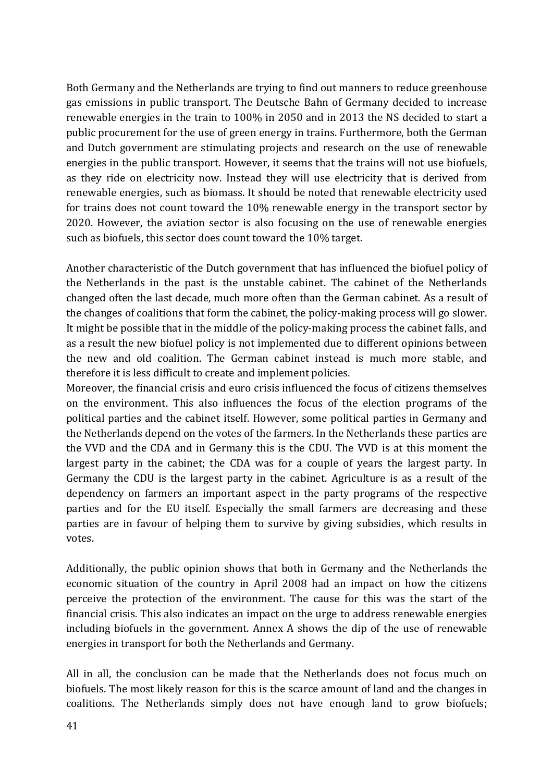Both Germany and the Netherlands are trying to find out manners to reduce greenhouse gas emissions in public transport. The Deutsche Bahn of Germany decided to increase renewable energies in the train to  $100\%$  in 2050 and in 2013 the NS decided to start a public procurement for the use of green energy in trains. Furthermore, both the German and Dutch government are stimulating projects and research on the use of renewable energies in the public transport. However, it seems that the trains will not use biofuels, as they ride on electricity now. Instead they will use electricity that is derived from renewable energies, such as biomass. It should be noted that renewable electricity used for trains does not count toward the 10% renewable energy in the transport sector by 2020. However, the aviation sector is also focusing on the use of renewable energies such as biofuels, this sector does count toward the 10% target.

Another characteristic of the Dutch government that has influenced the biofuel policy of the Netherlands in the past is the unstable cabinet. The cabinet of the Netherlands changed often the last decade, much more often than the German cabinet. As a result of the changes of coalitions that form the cabinet, the policy-making process will go slower. It might be possible that in the middle of the policy-making process the cabinet falls, and as a result the new biofuel policy is not implemented due to different opinions between the new and old coalition. The German cabinet instead is much more stable, and therefore it is less difficult to create and implement policies.

Moreover, the financial crisis and euro crisis influenced the focus of citizens themselves on the environment. This also influences the focus of the election programs of the political parties and the cabinet itself. However, some political parties in Germany and the Netherlands depend on the votes of the farmers. In the Netherlands these parties are the VVD and the CDA and in Germany this is the CDU. The VVD is at this moment the largest party in the cabinet; the CDA was for a couple of years the largest party. In Germany the CDU is the largest party in the cabinet. Agriculture is as a result of the dependency on farmers an important aspect in the party programs of the respective parties and for the EU itself. Especially the small farmers are decreasing and these parties are in favour of helping them to survive by giving subsidies, which results in votes.

Additionally, the public opinion shows that both in Germany and the Netherlands the economic situation of the country in April 2008 had an impact on how the citizens perceive the protection of the environment. The cause for this was the start of the financial crisis. This also indicates an impact on the urge to address renewable energies including biofuels in the government. Annex A shows the dip of the use of renewable energies in transport for both the Netherlands and Germany.

All in all, the conclusion can be made that the Netherlands does not focus much on biofuels. The most likely reason for this is the scarce amount of land and the changes in coalitions. The Netherlands simply does not have enough land to grow biofuels;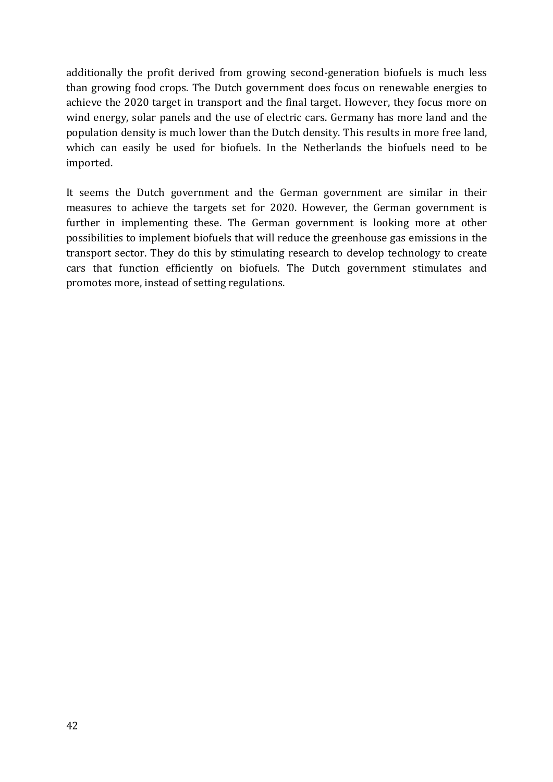additionally the profit derived from growing second-generation biofuels is much less than growing food crops. The Dutch government does focus on renewable energies to achieve the 2020 target in transport and the final target. However, they focus more on wind energy, solar panels and the use of electric cars. Germany has more land and the population density is much lower than the Dutch density. This results in more free land, which can easily be used for biofuels. In the Netherlands the biofuels need to be imported. 

It seems the Dutch government and the German government are similar in their measures to achieve the targets set for 2020. However, the German government is further in implementing these. The German government is looking more at other possibilities to implement biofuels that will reduce the greenhouse gas emissions in the transport sector. They do this by stimulating research to develop technology to create cars that function efficiently on biofuels. The Dutch government stimulates and promotes more, instead of setting regulations.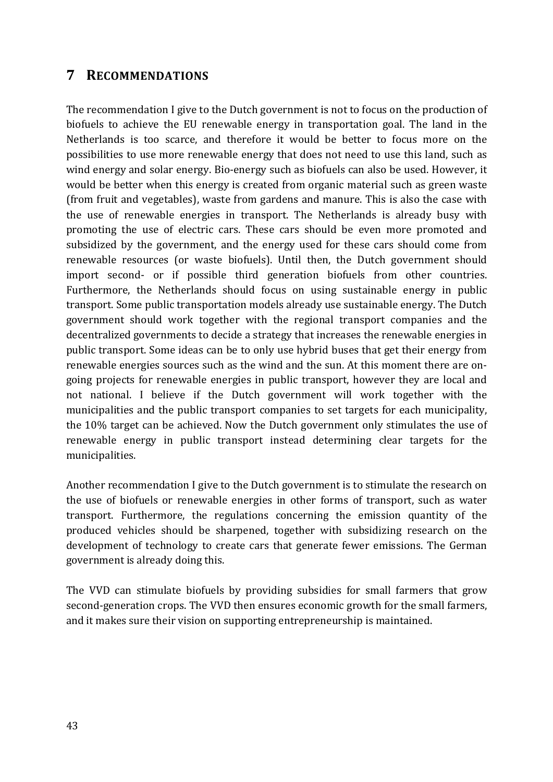# **7 RECOMMENDATIONS**

The recommendation I give to the Dutch government is not to focus on the production of biofuels to achieve the EU renewable energy in transportation goal. The land in the Netherlands is too scarce, and therefore it would be better to focus more on the possibilities to use more renewable energy that does not need to use this land, such as wind energy and solar energy. Bio-energy such as biofuels can also be used. However, it would be better when this energy is created from organic material such as green waste (from fruit and vegetables), waste from gardens and manure. This is also the case with the use of renewable energies in transport. The Netherlands is already busy with promoting the use of electric cars. These cars should be even more promoted and subsidized by the government, and the energy used for these cars should come from renewable resources (or waste biofuels). Until then, the Dutch government should import second- or if possible third generation biofuels from other countries. Furthermore, the Netherlands should focus on using sustainable energy in public transport. Some public transportation models already use sustainable energy. The Dutch government should work together with the regional transport companies and the decentralized governments to decide a strategy that increases the renewable energies in public transport. Some ideas can be to only use hybrid buses that get their energy from renewable energies sources such as the wind and the sun. At this moment there are ongoing projects for renewable energies in public transport, however they are local and not national. I believe if the Dutch government will work together with the municipalities and the public transport companies to set targets for each municipality, the 10% target can be achieved. Now the Dutch government only stimulates the use of renewable energy in public transport instead determining clear targets for the municipalities.

Another recommendation I give to the Dutch government is to stimulate the research on the use of biofuels or renewable energies in other forms of transport, such as water transport. Furthermore, the regulations concerning the emission quantity of the produced vehicles should be sharpened, together with subsidizing research on the development of technology to create cars that generate fewer emissions. The German government is already doing this.

The VVD can stimulate biofuels by providing subsidies for small farmers that grow second-generation crops. The VVD then ensures economic growth for the small farmers, and it makes sure their vision on supporting entrepreneurship is maintained.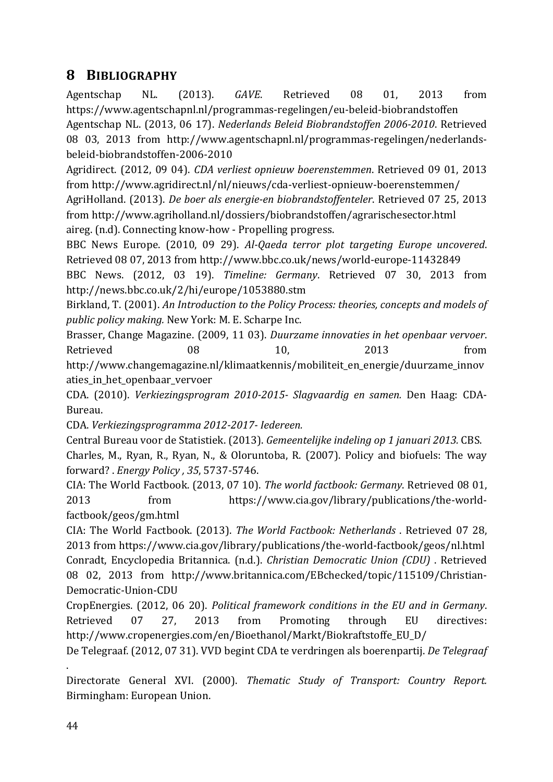# **8 BIBLIOGRAPHY**

Agentschap NL. (2013). GAVE. Retrieved 08 01, 2013 from https://www.agentschapnl.nl/programmas-regelingen/eu-beleid-biobrandstoffen Agentschap NL. (2013, 06 17). *Nederlands Beleid Biobrandstoffen 2006-2010*. Retrieved 08 03, 2013 from http://www.agentschapnl.nl/programmas-regelingen/nederlandsbeleid-biobrandstoffen-2006-2010

Agridirect. (2012, 09 04). *CDA verliest opnieuw boerenstemmen*. Retrieved 09 01, 2013 from http://www.agridirect.nl/nl/nieuws/cda-verliest-opnieuw-boerenstemmen/

AgriHolland. (2013). *De boer als energie-en biobrandstoffenteler*. Retrieved 07 25, 2013 from http://www.agriholland.nl/dossiers/biobrandstoffen/agrarischesector.html aireg. (n.d). Connecting know-how - Propelling progress.

BBC News Europe. (2010, 09 29). *Al-Qaeda terror plot targeting Europe uncovered.* Retrieved 08 07, 2013 from http://www.bbc.co.uk/news/world-europe-11432849

BBC News. (2012, 03 19). *Timeline: Germany*. Retrieved 07 30, 2013 from http://news.bbc.co.uk/2/hi/europe/1053880.stm

Birkland, T. (2001). An Introduction to the Policy Process: theories, concepts and models of *public policy making.* New York: M. E. Scharpe Inc.

Brasser, Change Magazine. (2009, 11 03). *Duurzame innovaties in het openbaar vervoer*. Retrieved 08 08 10, 2013 from

http://www.changemagazine.nl/klimaatkennis/mobiliteit\_en\_energie/duurzame\_innov aties\_in\_het\_openbaar\_vervoer

CDA. (2010). *Verkiezingsprogram 2010-2015- Slagvaardig en samen.* Den Haag: CDA-Bureau.

CDA. *Verkiezingsprogramma 2012-2017- Iedereen.*

Central Bureau voor de Statistiek. (2013). *Gemeentelijke indeling op 1 januari 2013.* CBS. Charles, M., Ryan, R., Ryan, N., & Oloruntoba, R. (2007). Policy and biofuels: The way forward? . *Energy Policy , 35*, 5737-5746.

CIA: The World Factbook. (2013, 07 10). The world factbook: Germany. Retrieved 08 01, 2013 from https://www.cia.gov/library/publications/the-worldfactbook/geos/gm.html

CIA: The World Factbook. (2013). *The World Factbook: Netherlands*. Retrieved 07 28, 2013 from https://www.cia.gov/library/publications/the-world-factbook/geos/nl.html Conradt, Encyclopedia Britannica. (n.d.). *Christian Democratic Union (CDU)*. Retrieved 08 02, 2013 from http://www.britannica.com/EBchecked/topic/115109/Christian-Democratic-Union-CDU 

CropEnergies. (2012, 06 20). *Political framework conditions in the EU and in Germany*. Retrieved 07 27, 2013 from Promoting through EU directives: http://www.cropenergies.com/en/Bioethanol/Markt/Biokraftstoffe\_EU\_D/

De Telegraaf. (2012, 07 31). VVD begint CDA te verdringen als boerenpartij. *De Telegraaf* 

Directorate General XVI. (2000). *Thematic Study of Transport: Country Report.* Birmingham: European Union.

.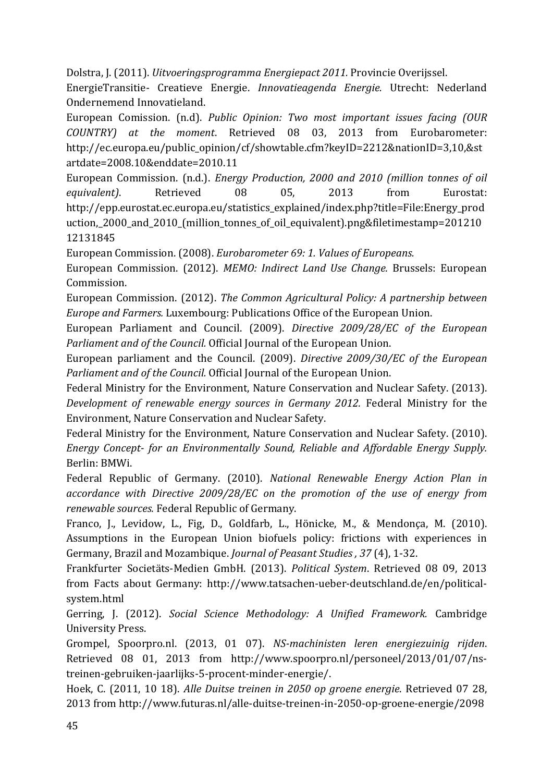Dolstra, J. (2011). *Uitvoeringsprogramma Energiepact 2011.* Provincie Overijssel.

EnergieTransitie- Creatieve Energie. *Innovatieagenda Energie.* Utrecht: Nederland Ondernemend Innovatieland.

European Comission. (n.d). *Public Opinion: Two most important issues facing (OUR COUNTRY) at the moment*. Retrieved 08 03, 2013 from Eurobarometer: http://ec.europa.eu/public\_opinion/cf/showtable.cfm?keyID=2212&nationID=3,10,&st artdate=2008.10&enddate=2010.11

European Commission. (n.d.). *Energy Production, 2000 and 2010 (million tonnes of oil* equivalent). Retrieved 08 05, 2013 from Eurostat: http://epp.eurostat.ec.europa.eu/statistics\_explained/index.php?title=File:Energy\_prod uction,\_2000\_and\_2010\_(million\_tonnes\_of\_oil\_equivalent).png&filetimestamp=201210 12131845

European Commission. (2008). *Eurobarometer* 69: 1. Values of Europeans.

European Commission. (2012). *MEMO: Indirect Land Use Change.* Brussels: European Commission.

European Commission. (2012). *The Common Agricultural Policy: A partnership between Europe and Farmers.* Luxembourg: Publications Office of the European Union.

European Parliament and Council. (2009). *Directive 2009/28/EC of the European Parliament and of the Council.* Official Journal of the European Union.

European parliament and the Council. (2009). *Directive 2009/30/EC of the European Parliament and of the Council.* Official Journal of the European Union.

Federal Ministry for the Environment, Nature Conservation and Nuclear Safety. (2013). *Development of renewable energy sources in Germany 2012.* Federal Ministry for the Environment, Nature Conservation and Nuclear Safety.

Federal Ministry for the Environment, Nature Conservation and Nuclear Safety. (2010). *Energy Concept-* for an *Environmentally Sound, Reliable and Affordable Energy Supply.* Berlin: BMWi.

Federal Republic of Germany. (2010). *National Renewable Energy Action Plan in* accordance with Directive 2009/28/EC on the promotion of the use of energy from renewable sources. Federal Republic of Germany.

Franco, I., Levidow, L., Fig, D., Goldfarb, L., Hönicke, M., & Mendonça, M. (2010). Assumptions in the European Union biofuels policy: frictions with experiences in Germany, Brazil and Mozambique. *Journal of Peasant Studies*, 37(4), 1-32.

Frankfurter Societäts-Medien GmbH. (2013). *Political System*. Retrieved 08 09, 2013 from Facts about Germany: http://www.tatsachen-ueber-deutschland.de/en/politicalsystem.html

Gerring, J. (2012). *Social Science Methodology: A Unified Framework.* Cambridge University Press.

Grompel, Spoorpro.nl. (2013, 01 07). *NS-machinisten leren energiezuinig rijden*. Retrieved 08 01, 2013 from http://www.spoorpro.nl/personeel/2013/01/07/nstreinen-gebruiken-jaarlijks-5-procent-minder-energie/. 

Hoek, C. (2011, 10 18). *Alle Duitse treinen in 2050 op groene energie*. Retrieved 07 28, 2013 from http://www.futuras.nl/alle-duitse-treinen-in-2050-op-groene-energie/2098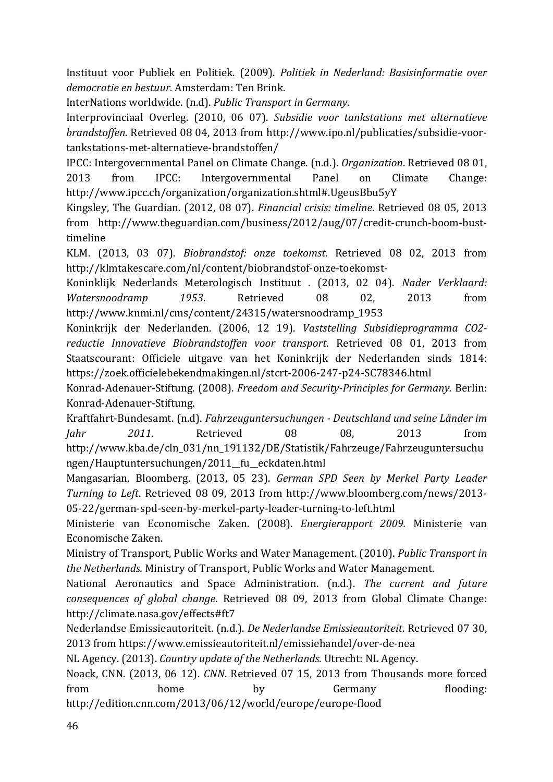Instituut voor Publiek en Politiek. (2009). *Politiek in Nederland: Basisinformatie over democratie en bestuur.* Amsterdam: Ten Brink.

InterNations worldwide. (n.d). *Public Transport in Germany.* 

Interprovinciaal Overleg. (2010, 06 07). Subsidie voor tankstations met alternatieve *brandstoffen*. Retrieved 08 04, 2013 from http://www.ipo.nl/publicaties/subsidie-voortankstations-met-alternatieve-brandstoffen/

IPCC: Intergovernmental Panel on Climate Change. (n.d.). *Organization*. Retrieved 08 01, 2013 from IPCC: Intergovernmental Panel on Climate Change: http://www.ipcc.ch/organization/organization.shtml#.UgeusBbu5yY

Kingsley, The Guardian. (2012, 08 07). *Financial crisis: timeline*. Retrieved 08 05, 2013 from http://www.theguardian.com/business/2012/aug/07/credit-crunch-boom-busttimeline

KLM. (2013, 03 07). *Biobrandstof:* onze toekomst. Retrieved 08 02, 2013 from http://klmtakescare.com/nl/content/biobrandstof-onze-toekomst-

Koninklijk Nederlands Meterologisch Instituut . (2013, 02 04). *Nader Verklaard:* Watersnoodramp 1953. Retrieved 08 02, 2013 from http://www.knmi.nl/cms/content/24315/watersnoodramp\_1953

Koninkrijk der Nederlanden. (2006, 12 19). *Vaststelling Subsidieprogramma CO2* reductie Innovatieve Biobrandstoffen voor transport. Retrieved 08 01, 2013 from Staatscourant: Officiele uitgave van het Koninkrijk der Nederlanden sinds 1814: https://zoek.officielebekendmakingen.nl/stcrt-2006-247-p24-SC78346.html

Konrad-Adenauer-Stiftung. (2008). *Freedom and Security-Principles for Germany.* Berlin: Konrad-Adenauer-Stiftung.

Kraftfahrt-Bundesamt. (n.d). *Fahrzeuguntersuchungen - Deutschland und seine Länder im Jahr 2011*. Retrieved 08 08, 2013 from http://www.kba.de/cln\_031/nn\_191132/DE/Statistik/Fahrzeuge/Fahrzeuguntersuchu ngen/Hauptuntersuchungen/2011\_\_fu\_\_eckdaten.html

Mangasarian, Bloomberg. (2013, 05 23). *German SPD Seen by Merkel Party Leader Turning to Left.* Retrieved 08 09, 2013 from http://www.bloomberg.com/news/2013-05-22/german-spd-seen-by-merkel-party-leader-turning-to-left.html

Ministerie van Economische Zaken. (2008). *Energierapport 2009.* Ministerie van Economische Zaken.

Ministry of Transport, Public Works and Water Management. (2010). *Public Transport in the Netherlands.* Ministry of Transport, Public Works and Water Management.

National Aeronautics and Space Administration. (n.d.). *The current and future consequences of global change.* Retrieved 08 09, 2013 from Global Climate Change: http://climate.nasa.gov/effects#ft7

Nederlandse Emissieautoriteit. (n.d.). *De Nederlandse Emissieautoriteit*. Retrieved 07 30, 2013 from https://www.emissieautoriteit.nl/emissiehandel/over-de-nea

NL Agency. (2013). *Country update of the Netherlands*. Utrecht: NL Agency.

Noack, CNN. (2013, 06 12). *CNN*. Retrieved 07 15, 2013 from Thousands more forced from home by Germany flooding: http://edition.cnn.com/2013/06/12/world/europe/europe-flood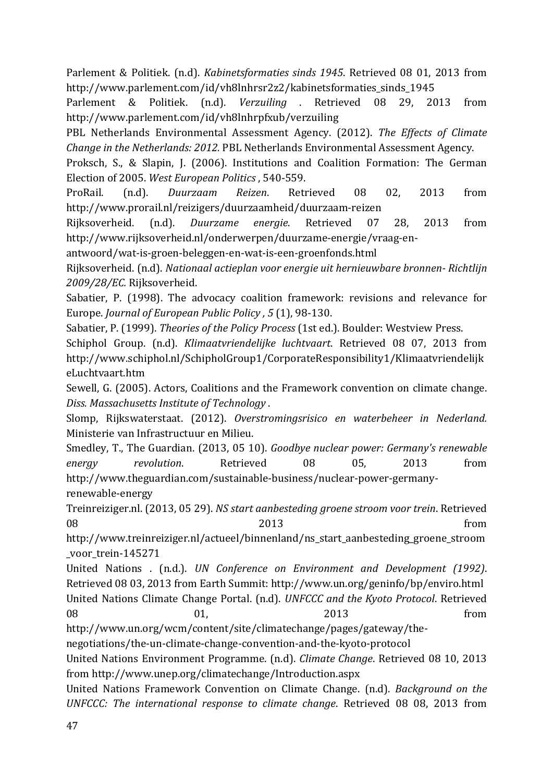Parlement & Politiek. (n.d). *Kabinetsformaties sinds 1945*. Retrieved 08 01, 2013 from http://www.parlement.com/id/vh8lnhrsr2z2/kabinetsformaties\_sinds\_1945

Parlement & Politiek. (n.d). *Verzuiling* . Retrieved 08 29, 2013 from http://www.parlement.com/id/vh8lnhrpfxub/verzuiling

PBL Netherlands Environmental Assessment Agency. (2012). *The Effects of Climate Change in the Netherlands: 2012.* PBL Netherlands Environmental Assessment Agency.

Proksch, S., & Slapin, J. (2006). Institutions and Coalition Formation: The German Election of 2005. West European Politics, 540-559.

ProRail. (n.d). *Duurzaam Reizen*. Retrieved 08 02, 2013 from http://www.prorail.nl/reizigers/duurzaamheid/duurzaam-reizen

Rijksoverheid. (n.d). *Duurzame energie*. Retrieved 07 28, 2013 from http://www.rijksoverheid.nl/onderwerpen/duurzame-energie/vraag-en-

antwoord/wat-is-groen-beleggen-en-wat-is-een-groenfonds.html

Rijksoverheid. (n.d). *Nationaal actieplan voor energie uit hernieuwbare bronnen- Richtlijn 2009/28/EC.* Rijksoverheid.

Sabatier, P. (1998). The advocacy coalition framework: revisions and relevance for Europe. *Journal of European Public Policy*, 5(1), 98-130.

Sabatier, P. (1999). *Theories of the Policy Process* (1st ed.). Boulder: Westview Press.

Schiphol Group. (n.d). *Klimaatvriendelijke luchtvaart*. Retrieved 08 07, 2013 from http://www.schiphol.nl/SchipholGroup1/CorporateResponsibility1/Klimaatvriendelijk eLuchtvaart.htm

Sewell, G. (2005). Actors, Coalitions and the Framework convention on climate change. *Diss. Massachusetts Institute of Technology* .

Slomp, Rijkswaterstaat. (2012). *Overstromingsrisico en waterbeheer in Nederland.* Ministerie van Infrastructuur en Milieu.

Smedley, T., The Guardian. (2013, 05 10). *Goodbye nuclear power: Germany's renewable* energy revolution. Retrieved 08 05, 2013 from http://www.theguardian.com/sustainable-business/nuclear-power-germany-

renewable-energy

Treinreiziger.nl. (2013, 05 29). *NS start aanbesteding groene stroom voor trein*. Retrieved  $08$  from  $2013$  from

http://www.treinreiziger.nl/actueel/binnenland/ns\_start\_aanbesteding\_groene\_stroom \_voor\_trein-145271

United Nations . (n.d.). *UN Conference on Environment and Development (1992)*. Retrieved 08 03, 2013 from Earth Summit: http://www.un.org/geninfo/bp/enviro.html

United Nations Climate Change Portal. (n.d). *UNFCCC and the Kyoto Protocol*. Retrieved 08 01, 2013 from 

http://www.un.org/wcm/content/site/climatechange/pages/gateway/the-

negotiations/the-un-climate-change-convention-and-the-kyoto-protocol

United Nations Environment Programme. (n.d). *Climate Change*. Retrieved 08 10, 2013 from http://www.unep.org/climatechange/Introduction.aspx

United Nations Framework Convention on Climate Change. (n.d). *Background* on the *UNFCCC: The international response to climate change.* Retrieved 08 08, 2013 from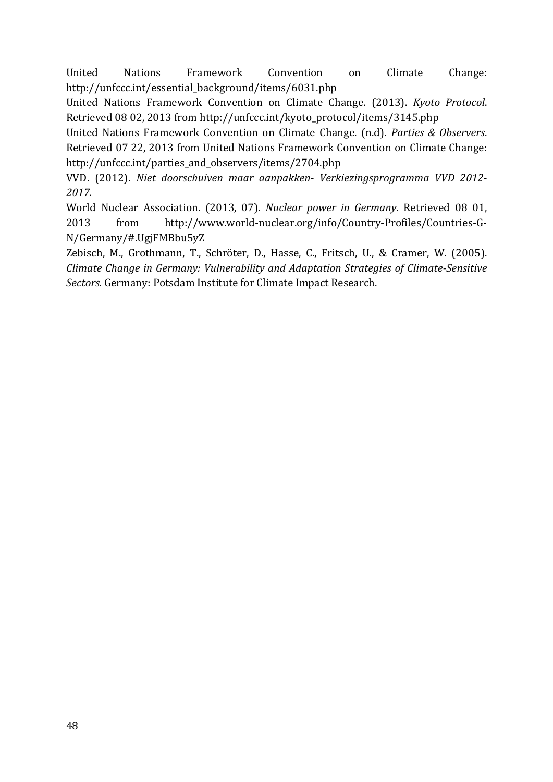United Nations Framework Convention on Climate Change: http://unfccc.int/essential\_background/items/6031.php

United Nations Framework Convention on Climate Change. (2013). *Kyoto Protocol.* Retrieved 08 02, 2013 from http://unfccc.int/kyoto\_protocol/items/3145.php

United Nations Framework Convention on Climate Change. (n.d). *Parties & Observers*. Retrieved 07 22, 2013 from United Nations Framework Convention on Climate Change: http://unfccc.int/parties\_and\_observers/items/2704.php

VVD. (2012). *Niet doorschuiven maar aanpakken- Verkiezingsprogramma VVD 2012- 2017.*

World Nuclear Association. (2013, 07). *Nuclear power in Germany*. Retrieved 08 01, 2013 from http://www.world-nuclear.org/info/Country-Profiles/Countries-G-N/Germany/#.UgjFMBbu5yZ

Zebisch, M., Grothmann, T., Schröter, D., Hasse, C., Fritsch, U., & Cramer, W. (2005). *Climate Change in Germany: Vulnerability and Adaptation Strategies of Climate-Sensitive* Sectors. Germany: Potsdam Institute for Climate Impact Research.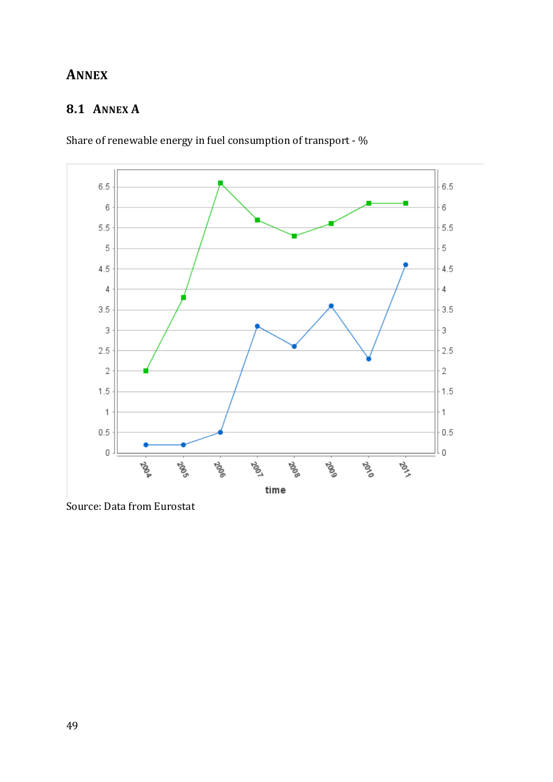# **ANNEX**

# **8.1 ANNEX A**



Share of renewable energy in fuel consumption of transport -  $\%$ 

Source: Data from Eurostat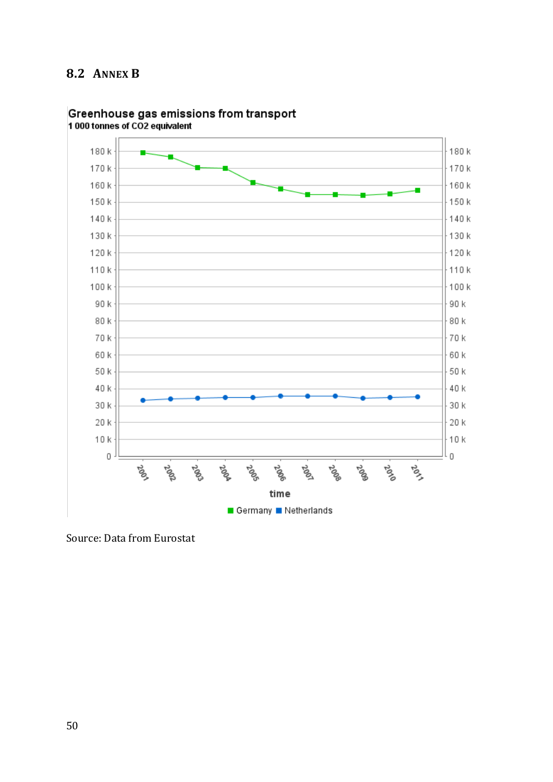# **8.2 ANNEX B**



# Greenhouse gas emissions from transport<br>1000 tonnes of CO2 equivalent

Source: Data from Eurostat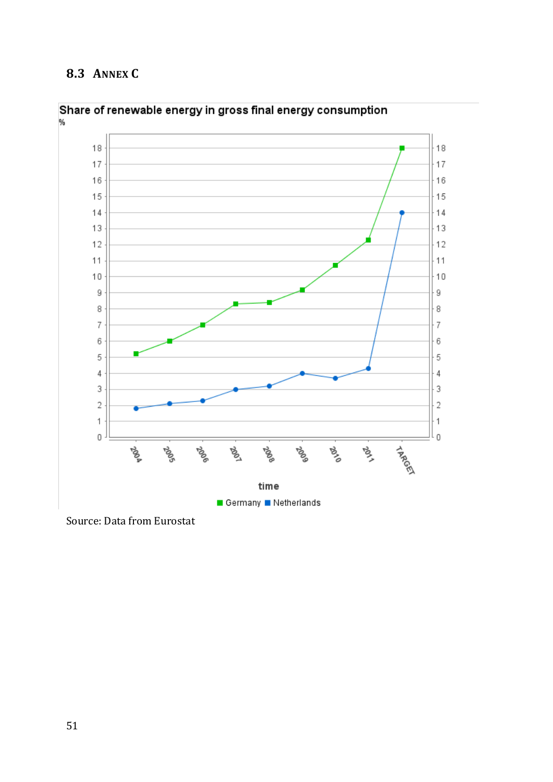# **8.3 ANNEX C**





Source: Data from Eurostat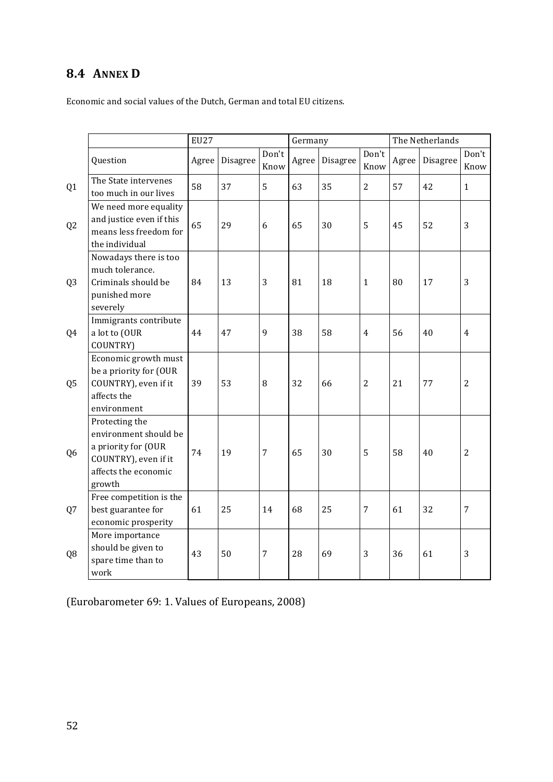# **8.4 ANNEX D**

Economic and social values of the Dutch, German and total EU citizens.

|                |                                                                                                                          |       | <b>EU27</b> |               | Germany |          |                | The Netherlands |          |                |
|----------------|--------------------------------------------------------------------------------------------------------------------------|-------|-------------|---------------|---------|----------|----------------|-----------------|----------|----------------|
|                | Question                                                                                                                 | Agree | Disagree    | Don't<br>Know | Agree   | Disagree | Don't<br>Know  | Agree           | Disagree | Don't<br>Know  |
| Q <sub>1</sub> | The State intervenes<br>too much in our lives                                                                            | 58    | 37          | 5             | 63      | 35       | $\overline{2}$ | 57              | 42       | $\mathbf{1}$   |
| Q <sub>2</sub> | We need more equality<br>and justice even if this<br>means less freedom for<br>the individual                            | 65    | 29          | 6             | 65      | 30       | 5              | 45              | 52       | 3              |
| Q <sub>3</sub> | Nowadays there is too<br>much tolerance.<br>Criminals should be<br>punished more<br>severely                             | 84    | 13          | 3             | 81      | 18       | $\mathbf{1}$   | 80              | 17       | 3              |
| Q4             | Immigrants contribute<br>a lot to (OUR<br>COUNTRY)                                                                       | 44    | 47          | 9             | 38      | 58       | $\overline{4}$ | 56              | 40       | $\overline{4}$ |
| Q <sub>5</sub> | Economic growth must<br>be a priority for (OUR<br>COUNTRY), even if it<br>affects the<br>environment                     | 39    | 53          | 8             | 32      | 66       | $\overline{2}$ | 21              | 77       | $\overline{2}$ |
| Q <sub>6</sub> | Protecting the<br>environment should be<br>a priority for (OUR<br>COUNTRY), even if it<br>affects the economic<br>growth | 74    | 19          | 7             | 65      | 30       | 5              | 58              | 40       | 2              |
| Q7             | Free competition is the<br>best guarantee for<br>economic prosperity                                                     | 61    | 25          | 14            | 68      | 25       | $\overline{7}$ | 61              | 32       | $\overline{7}$ |
| Q <sub>8</sub> | More importance<br>should be given to<br>spare time than to<br>work                                                      | 43    | 50          | 7             | 28      | 69       | $\overline{3}$ | 36              | 61       | 3              |

(Eurobarometer 69: 1. Values of Europeans, 2008)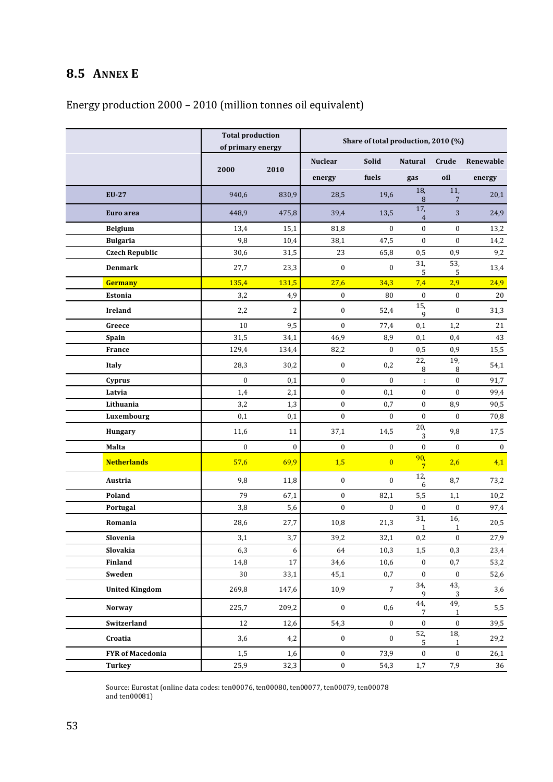# **8.5 ANNEX E**

# Energy production 2000 - 2010 (million tonnes oil equivalent)

|                         | <b>Total production</b><br>of primary energy |                | Share of total production, 2010 (%) |                  |                       |                        |           |  |
|-------------------------|----------------------------------------------|----------------|-------------------------------------|------------------|-----------------------|------------------------|-----------|--|
|                         |                                              |                | <b>Nuclear</b>                      | Solid            | Natural               | Crude                  | Renewable |  |
|                         | 2000                                         | 2010           | energy                              | fuels            | gas                   | oil                    | energy    |  |
| <b>EU-27</b>            | 940,6                                        | 830,9          | 28,5                                | 19,6             | 18,<br>$\, 8$         | $\overline{11}$ ,<br>7 | 20,1      |  |
| Euro area               | 448,9                                        | 475,8          | 39,4                                | 13,5             | 17,<br>$\overline{4}$ | $\sqrt{3}$             | 24,9      |  |
| <b>Belgium</b>          | 13,4                                         | 15,1           | 81,8                                | $\boldsymbol{0}$ | $\boldsymbol{0}$      | $\boldsymbol{0}$       | 13,2      |  |
| <b>Bulgaria</b>         | 9,8                                          | 10,4           | 38,1                                | 47,5             | $\boldsymbol{0}$      | $\boldsymbol{0}$       | 14,2      |  |
| <b>Czech Republic</b>   | 30,6                                         | 31,5           | 23                                  | 65,8             | 0,5                   | 0,9                    | 9,2       |  |
| <b>Denmark</b>          | 27,7                                         | 23,3           | $\boldsymbol{0}$                    | $\boldsymbol{0}$ | 31,<br>5              | 53,<br>5               | 13,4      |  |
| Germany                 | 135,4                                        | 131,5          | 27,6                                | 34,3             | 7,4                   | 2,9                    | 24,9      |  |
| Estonia                 | 3,2                                          | 4,9            | $\boldsymbol{0}$                    | 80               | $\boldsymbol{0}$      | $\boldsymbol{0}$       | 20        |  |
| Ireland                 | 2,2                                          | $\overline{2}$ | $\boldsymbol{0}$                    | 52,4             | 15,<br>9              | $\boldsymbol{0}$       | 31,3      |  |
| Greece                  | 10                                           | 9,5            | $\boldsymbol{0}$                    | 77,4             | 0,1                   | 1,2                    | 21        |  |
| Spain                   | 31,5                                         | 34,1           | 46,9                                | 8,9              | 0,1                   | 0,4                    | 43        |  |
| France                  | 129,4                                        | 134,4          | 82,2                                | $\mathbf{0}$     | 0,5                   | 0,9                    | 15,5      |  |
| Italy                   | 28,3                                         | 30,2           | $\boldsymbol{0}$                    | 0,2              | 22,<br>8              | 19,<br>8               | 54,1      |  |
| Cyprus                  | $\boldsymbol{0}$                             | 0,1            | $\boldsymbol{0}$                    | $\mathbf{0}$     | $\ddot{\phantom{a}}$  | $\boldsymbol{0}$       | 91,7      |  |
| Latvia                  | 1,4                                          | 2,1            | $\boldsymbol{0}$                    | 0,1              | $\boldsymbol{0}$      | $\boldsymbol{0}$       | 99,4      |  |
| Lithuania               | 3,2                                          | 1,3            | $\boldsymbol{0}$                    | 0,7              | $\boldsymbol{0}$      | 8,9                    | 90,5      |  |
| Luxembourg              | 0,1                                          | 0,1            | $\boldsymbol{0}$                    | $\mathbf{0}$     | $\boldsymbol{0}$      | $\boldsymbol{0}$       | 70,8      |  |
| Hungary                 | 11,6                                         | 11             | 37,1                                | 14,5             | 20,<br>3              | 9,8                    | 17,5      |  |
| Malta                   | $\boldsymbol{0}$                             | $\mathbf{0}$   | $\boldsymbol{0}$                    | $\bf{0}$         | $\boldsymbol{0}$      | $\boldsymbol{0}$       | $\bf{0}$  |  |
| <b>Netherlands</b>      | 57,6                                         | 69,9           | 1,5                                 | $\overline{0}$   | 90,<br>$\overline{7}$ | 2,6                    | 4,1       |  |
| Austria                 | 9,8                                          | 11,8           | $\boldsymbol{0}$                    | $\mathbf{0}$     | 12,<br>6              | 8,7                    | 73,2      |  |
| Poland                  | 79                                           | 67,1           | $\bf{0}$                            | 82,1             | 5,5                   | 1,1                    | 10,2      |  |
| Portugal                | 3,8                                          | 5,6            | $\boldsymbol{0}$                    | $\mathbf{0}$     | $\boldsymbol{0}$      | $\boldsymbol{0}$       | 97,4      |  |
| Romania                 | 28,6                                         | 27,7           | 10,8                                | 21,3             | 31,<br>1              | 16,<br>1               | 20,5      |  |
| Slovenia                | 3,1                                          | 3,7            | 39,2                                | 32,1             | 0,2                   | $\boldsymbol{0}$       | 27,9      |  |
| Slovakia                | 6,3                                          | 6              | 64                                  | 10,3             | 1,5                   | 0,3                    | 23,4      |  |
| Finland                 | 14,8                                         | 17             | 34,6                                | 10,6             | $\boldsymbol{0}$      | 0,7                    | 53,2      |  |
| Sweden                  | 30                                           | 33,1           | 45,1                                | 0,7              | $\bf{0}$              | $\boldsymbol{0}$       | 52,6      |  |
| <b>United Kingdom</b>   | 269,8                                        | 147,6          | 10,9                                | $\overline{7}$   | 34,<br>9              | 43,<br>3               | 3,6       |  |
| <b>Norway</b>           | 225,7                                        | 209,2          | $\bf{0}$                            | 0,6              | 44,<br>7              | 49,<br>1               | 5,5       |  |
| Switzerland             | 12                                           | 12,6           | 54,3                                | $\mathbf{0}$     | $\boldsymbol{0}$      | $\boldsymbol{0}$       | 39,5      |  |
| Croatia                 | 3,6                                          | 4,2            | $\boldsymbol{0}$                    | $\mathbf{0}$     | 52,<br>5              | 18,<br>$\mathbf{1}$    | 29,2      |  |
| <b>FYR</b> of Macedonia | 1,5                                          | 1,6            | $\mathbf{0}$                        | 73,9             | $\boldsymbol{0}$      | $\boldsymbol{0}$       | 26,1      |  |
| <b>Turkey</b>           | 25,9                                         | 32,3           | $\boldsymbol{0}$                    | 54,3             | 1,7                   | 7,9                    | 36        |  |

Source: Eurostat (online data codes: ten00076, ten00080, ten00077, ten00079, ten00078 and ten00081)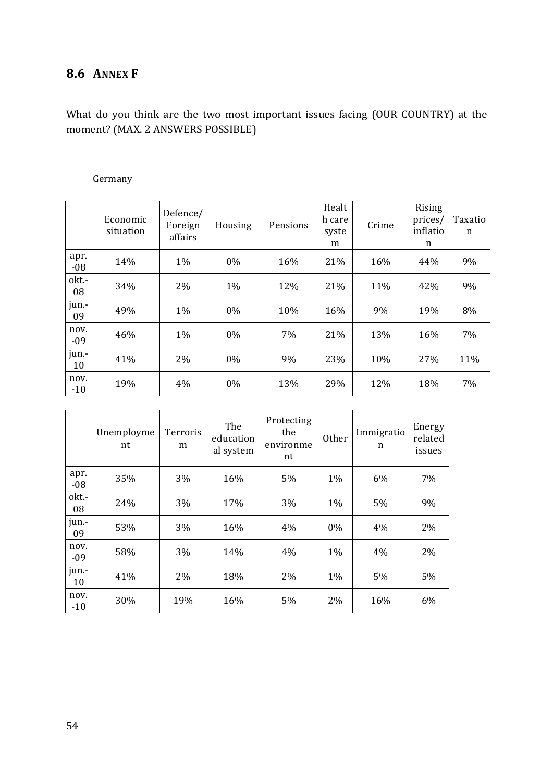# **8.6 ANNEX F**

What do you think are the two most important issues facing (OUR COUNTRY) at the moment? (MAX. 2 ANSWERS POSSIBLE)

### Germany

|               | Economic<br>situation | Defence/<br>Foreign<br>affairs | Housing | Pensions | Healt<br>h care<br>syste<br>m | Crime | Rising<br>prices/<br>inflatio<br>n | Taxatio<br>n |
|---------------|-----------------------|--------------------------------|---------|----------|-------------------------------|-------|------------------------------------|--------------|
| apr.<br>$-08$ | 14%                   | $1\%$                          | 0%      | 16%      | 21%                           | 16%   | 44%                                | 9%           |
| okt.-<br>08   | 34%                   | 2%                             | 1%      | 12%      | 21%                           | 11%   | 42%                                | 9%           |
| jun.-<br>09   | 49%                   | $1\%$                          | $0\%$   | 10%      | 16%                           | 9%    | 19%                                | 8%           |
| nov.<br>$-09$ | 46%                   | $1\%$                          | $0\%$   | 7%       | 21%                           | 13%   | 16%                                | 7%           |
| jun.-<br>10   | 41%                   | 2%                             | 0%      | 9%       | 23%                           | 10%   | 27%                                | 11%          |
| nov.<br>$-10$ | 19%                   | 4%                             | 0%      | 13%      | 29%                           | 12%   | 18%                                | 7%           |

|               | Unemployme<br>nt | Terroris<br>m | The<br>education<br>al system | Protecting<br>the<br>environme<br>nt | Other | Immigratio<br>n | Energy<br>related<br>issues |
|---------------|------------------|---------------|-------------------------------|--------------------------------------|-------|-----------------|-----------------------------|
| apr.<br>$-08$ | 35%              | 3%            | 16%                           | 5%                                   | $1\%$ | 6%              | 7%                          |
| okt.-<br>08   | 24%              | 3%            | 17%                           | 3%                                   | $1\%$ | 5%              | 9%                          |
| jun.-<br>09   | 53%              | 3%            | 16%                           | 4%                                   | $0\%$ | 4%              | 2%                          |
| nov.<br>$-09$ | 58%              | 3%            | 14%                           | 4%                                   | $1\%$ | 4%              | 2%                          |
| jun.-<br>10   | 41%              | 2%            | 18%                           | 2%                                   | 1%    | 5%              | 5%                          |
| nov.<br>$-10$ | 30%              | 19%           | 16%                           | 5%                                   | 2%    | 16%             | 6%                          |